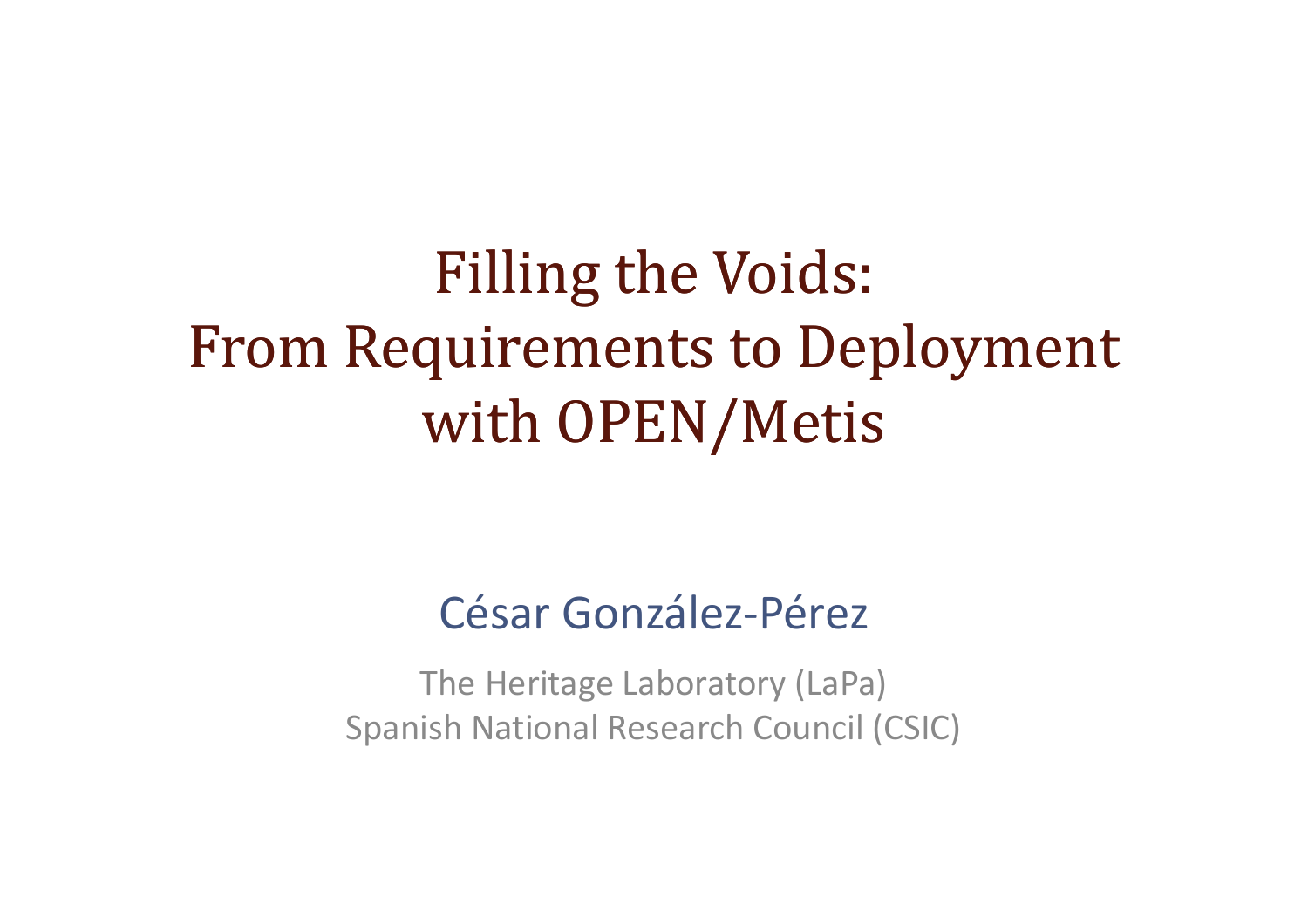## Filling the Voids:From Requirements to Deploymentwith OPEN/Metis

### César González-Pérez

The Heritage Laboratory (LaPa) Spanish National Research Council (CSIC)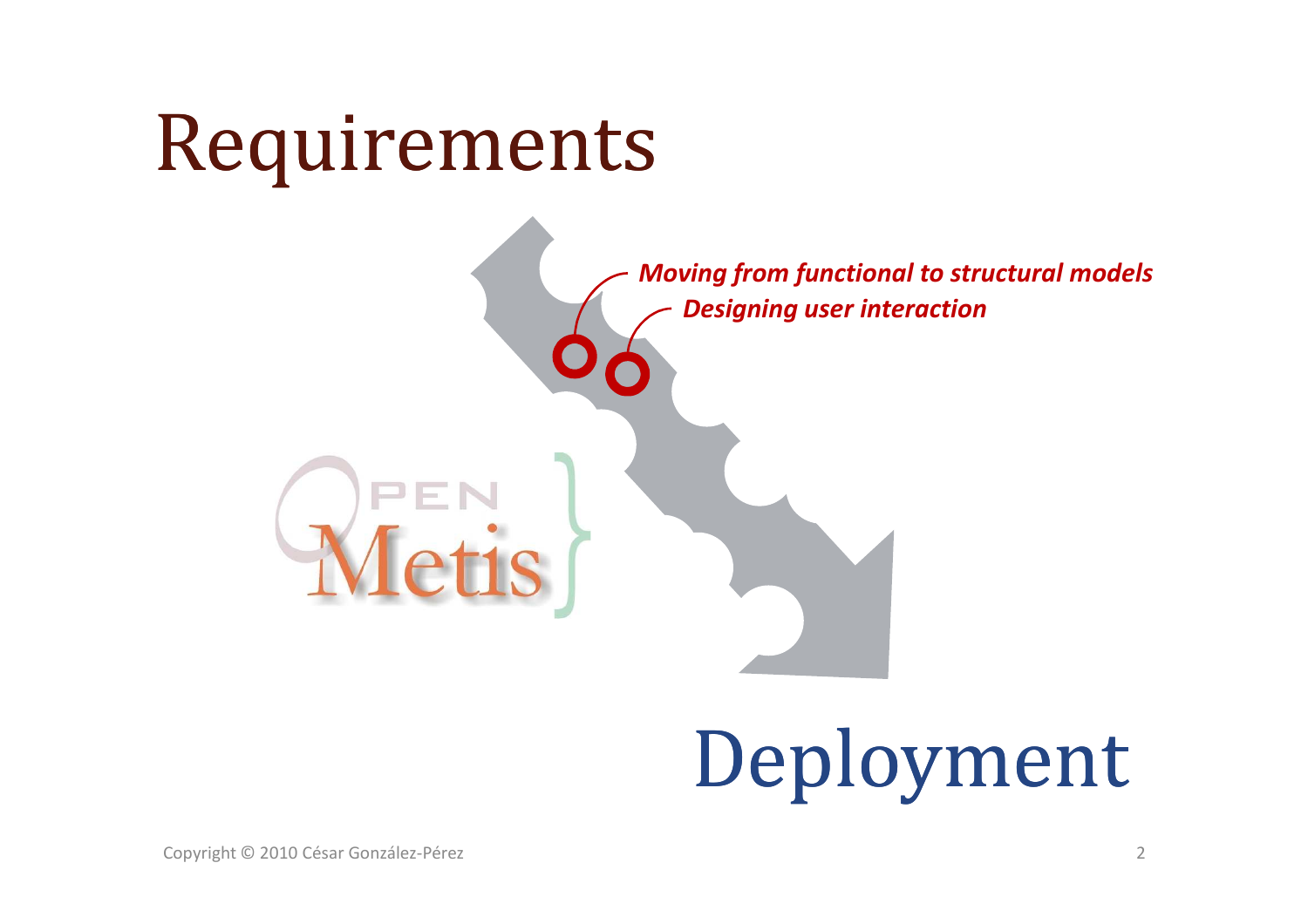## Requirements

*Designing user interactionMoving from functional to structural models*

# Deployment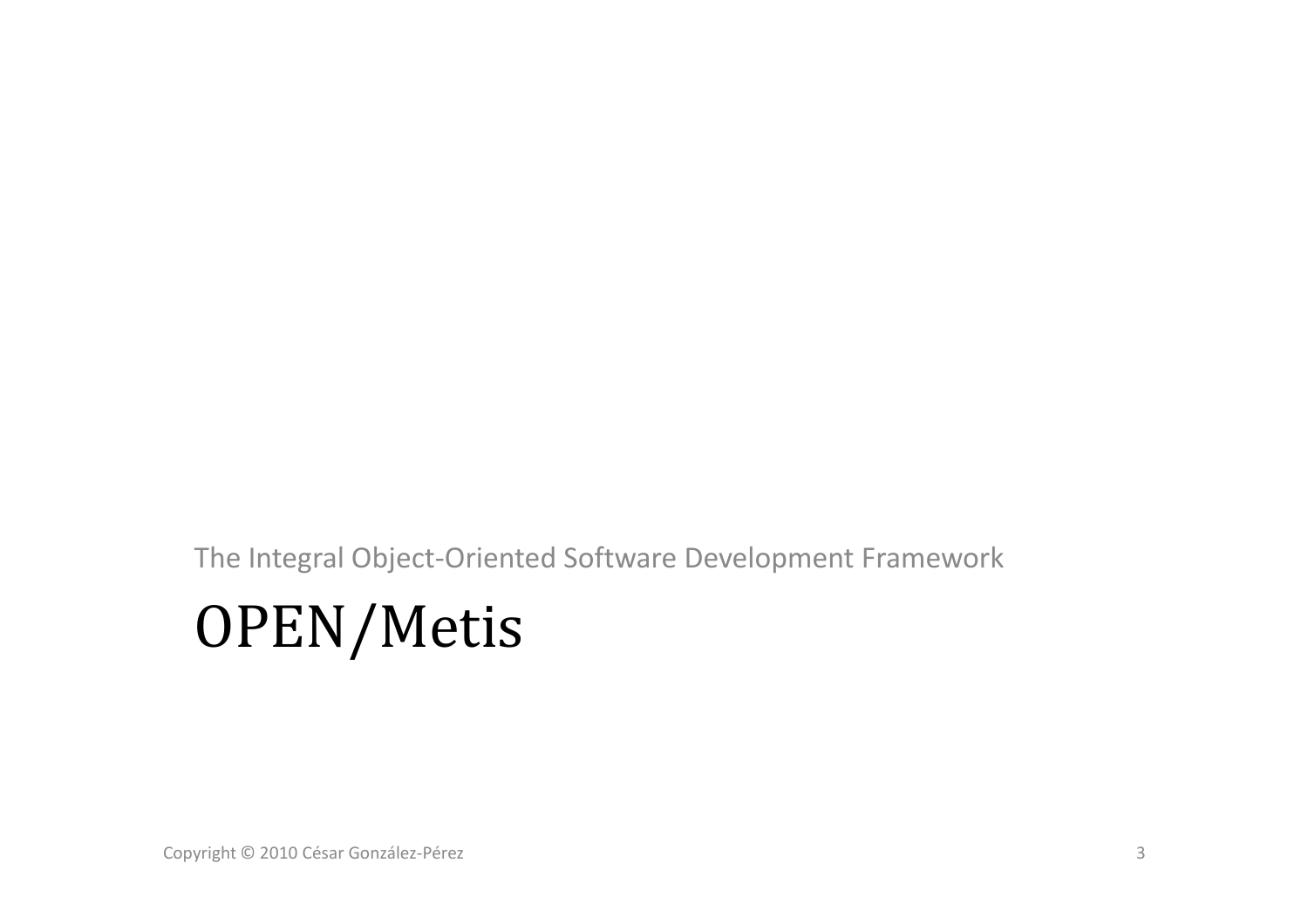The Integral Object-Oriented Software Development Framework

## OPEN/Metis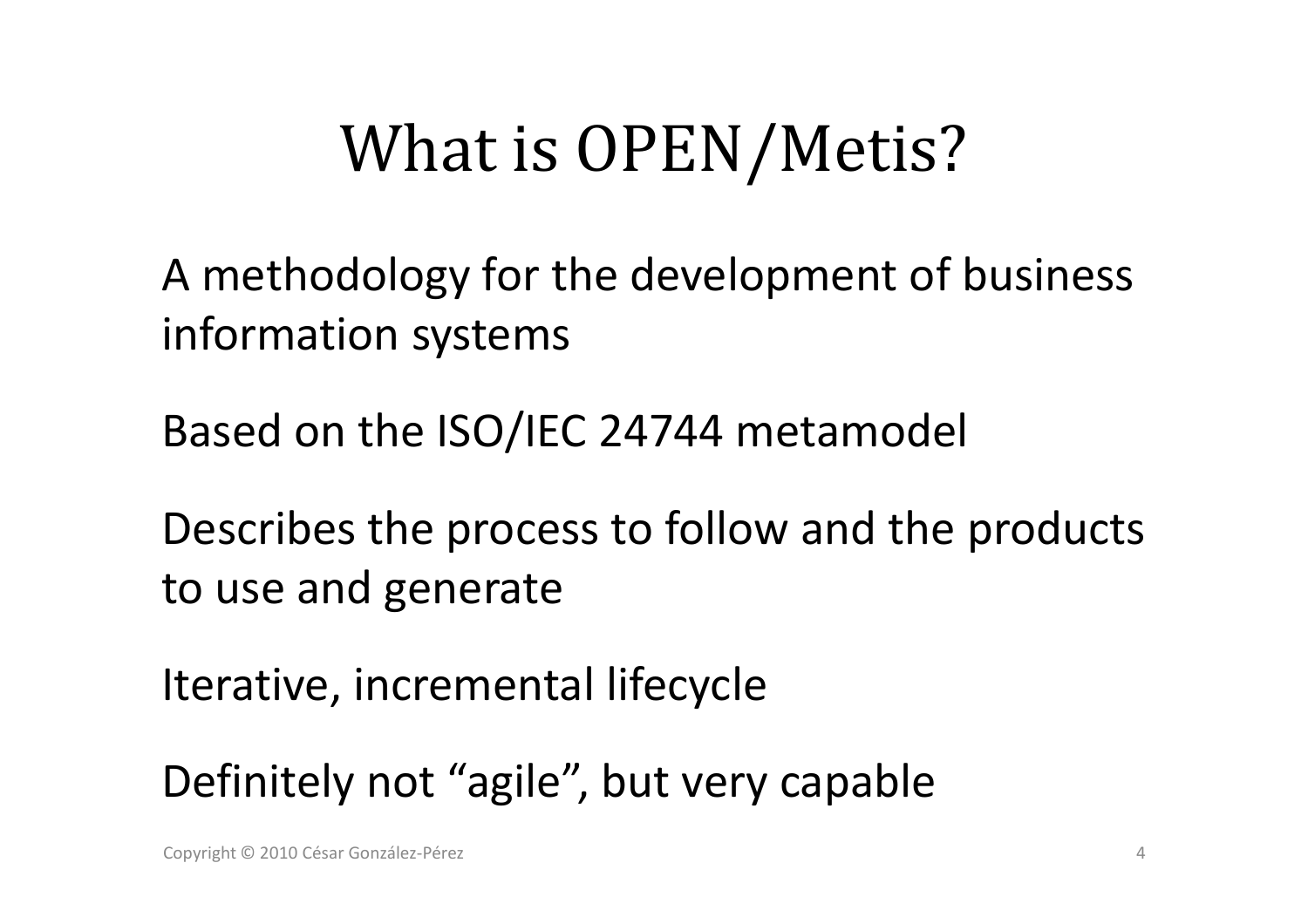## What is OPEN/Metis?

A methodology for the development of business information systems

Based on the ISO/IEC 24744 metamodel

Describes the process to follow and the products<br>. to use and generate

Iterative, incremental lifecycle

Definitely not "agile", but very capable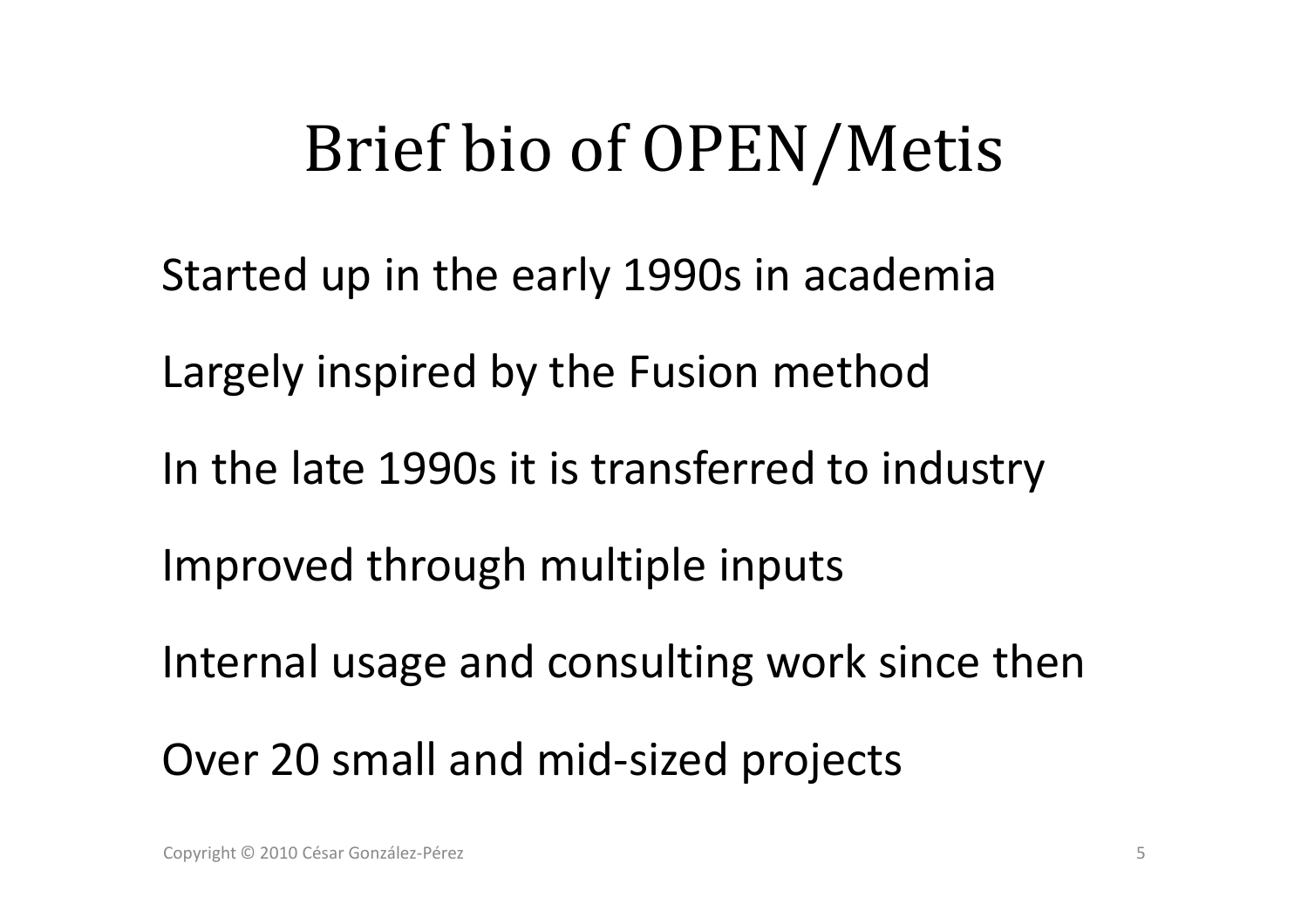## Brief bio of OPEN/Metis

Started up in the early 1990s in academia

Largely inspired by the Fusion method

In the late 1990s it is transferred to industry

Improved through multiple inputs

Internal usage and consulting work since then

Over 20 small and mid-sized projects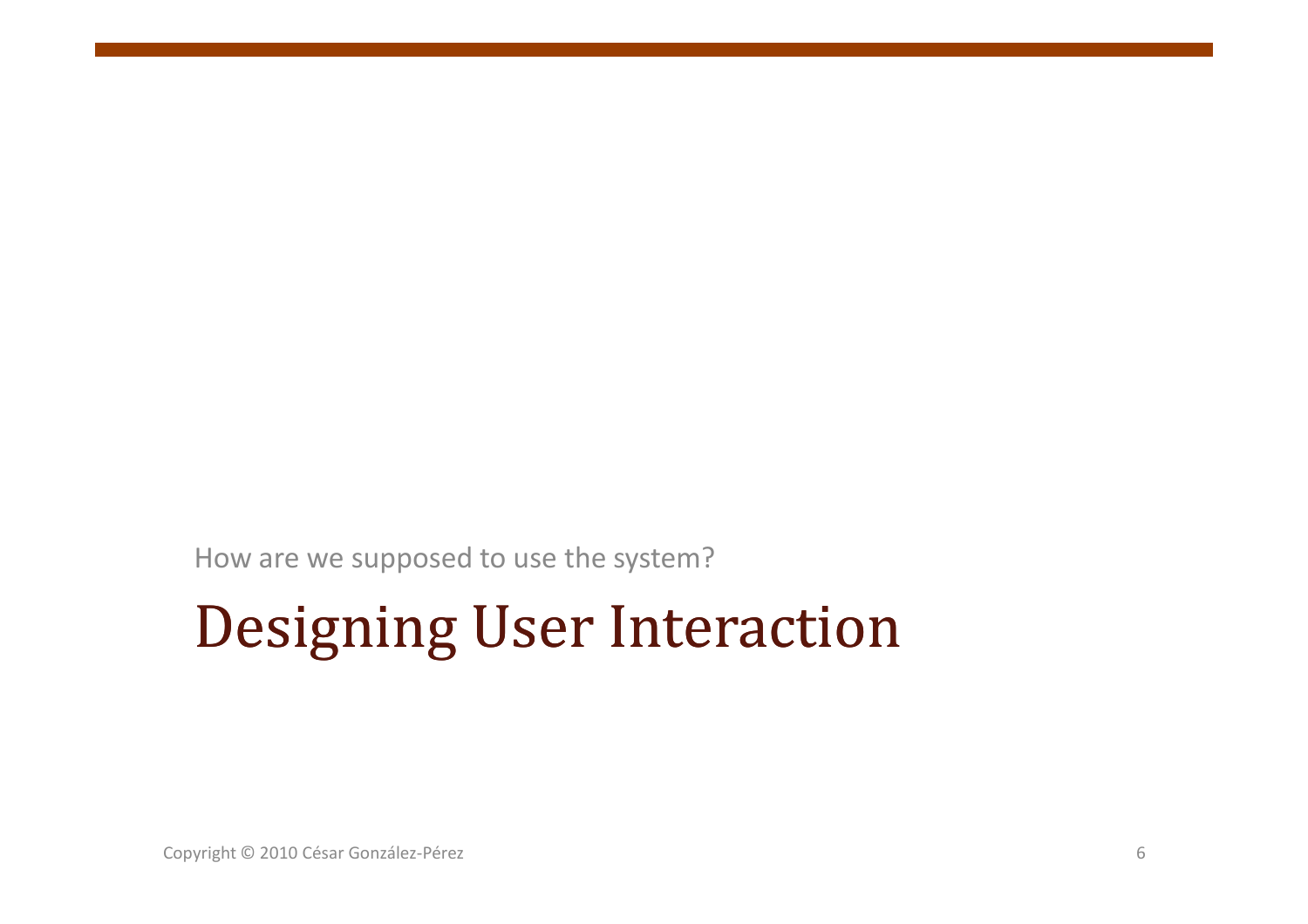How are we supposed to use the system?

## Designing User Interaction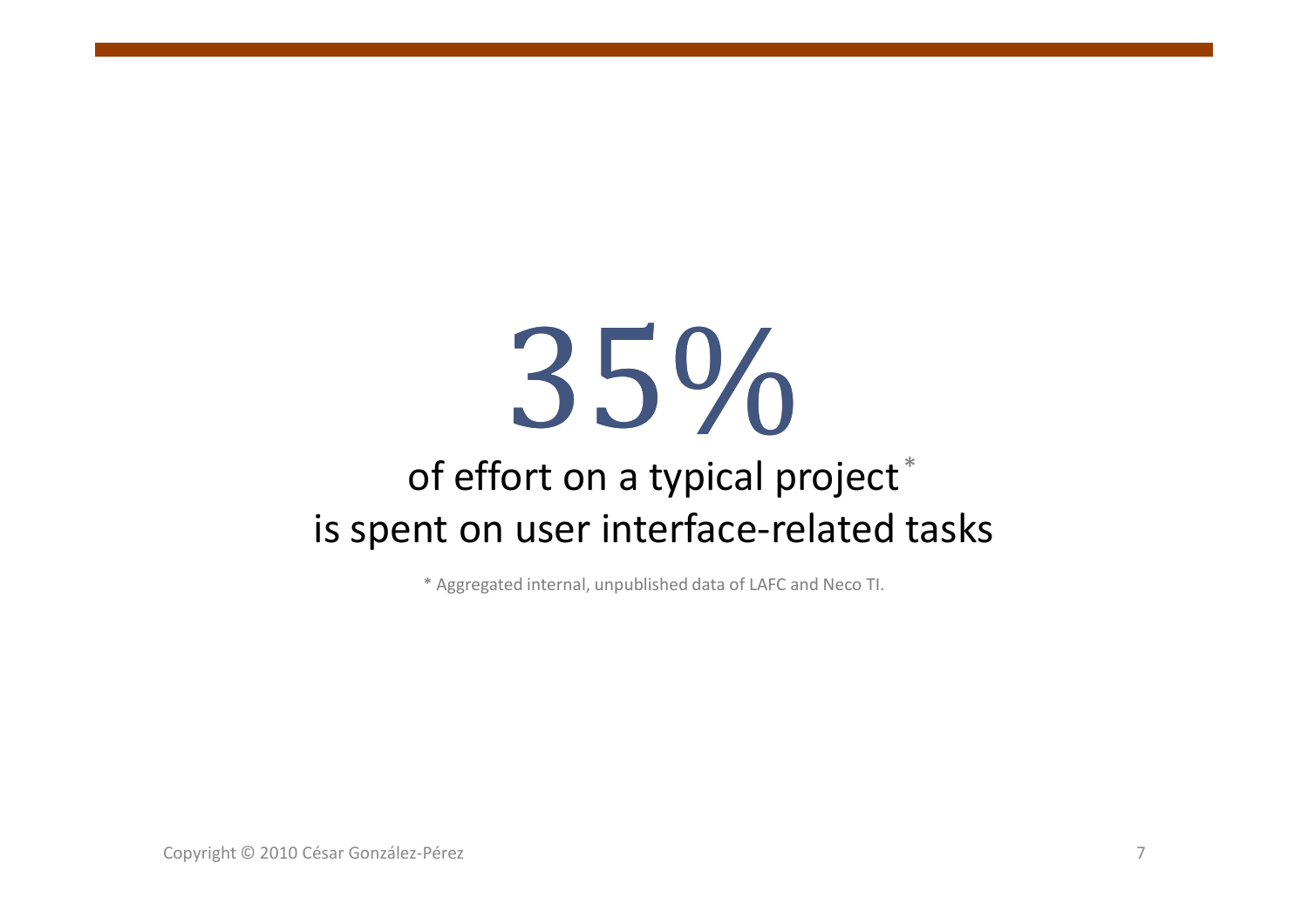# 35%

### of effort on a typical project $^\ast$ is spent on user interface-related tasks

\* Aggregated internal, unpublished data of LAFC and Neco TI.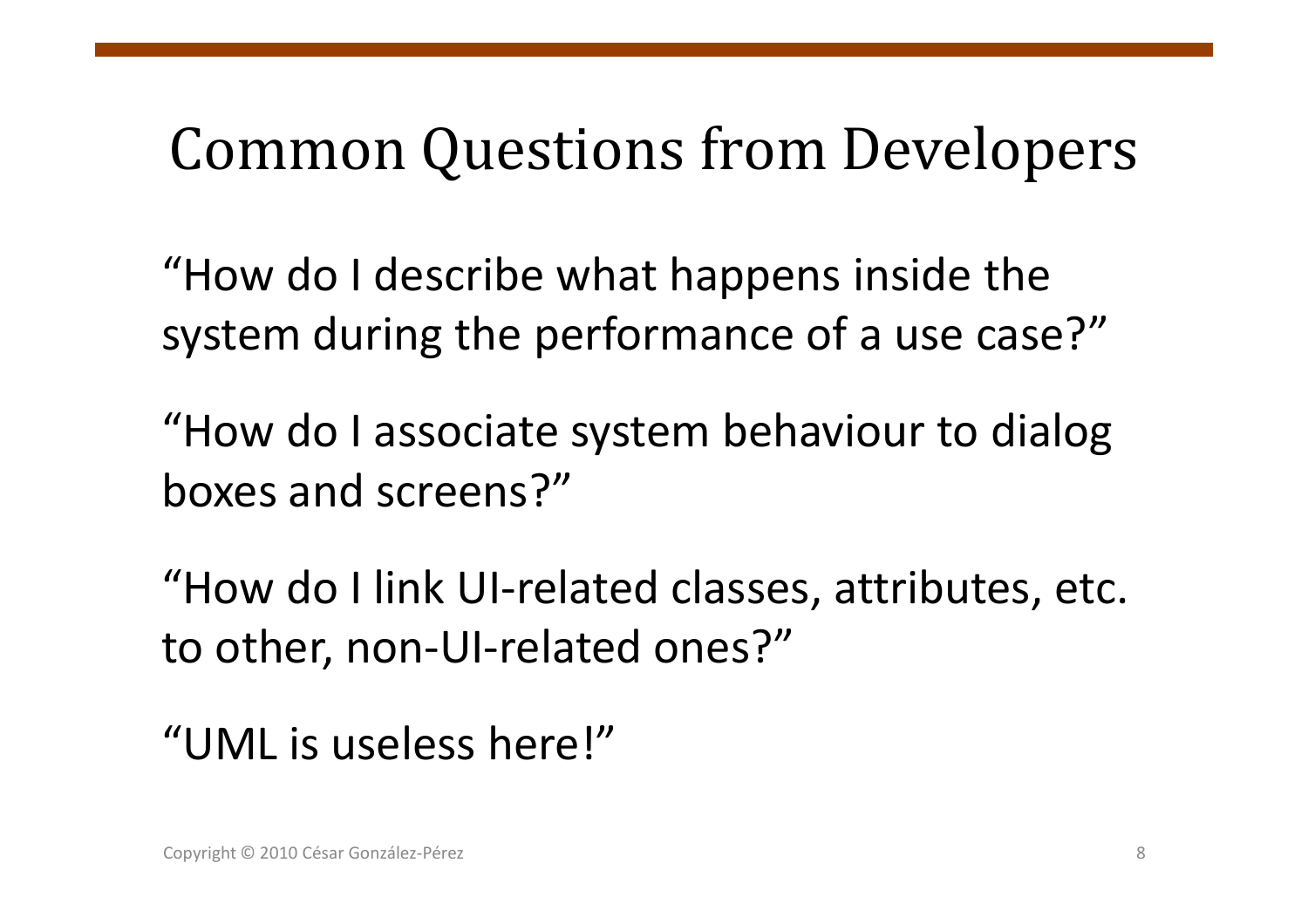# Common Questions from Developers

"How do I describe what happens inside the system during the performance of a use case?"

"How do I associate system behaviour to dialog<br>haves and sereans?" boxes and screens?"

"How do I link UI-related classes, attributes, etc.<br>. to other, non-UI-related ones?"

"UML is useless here!"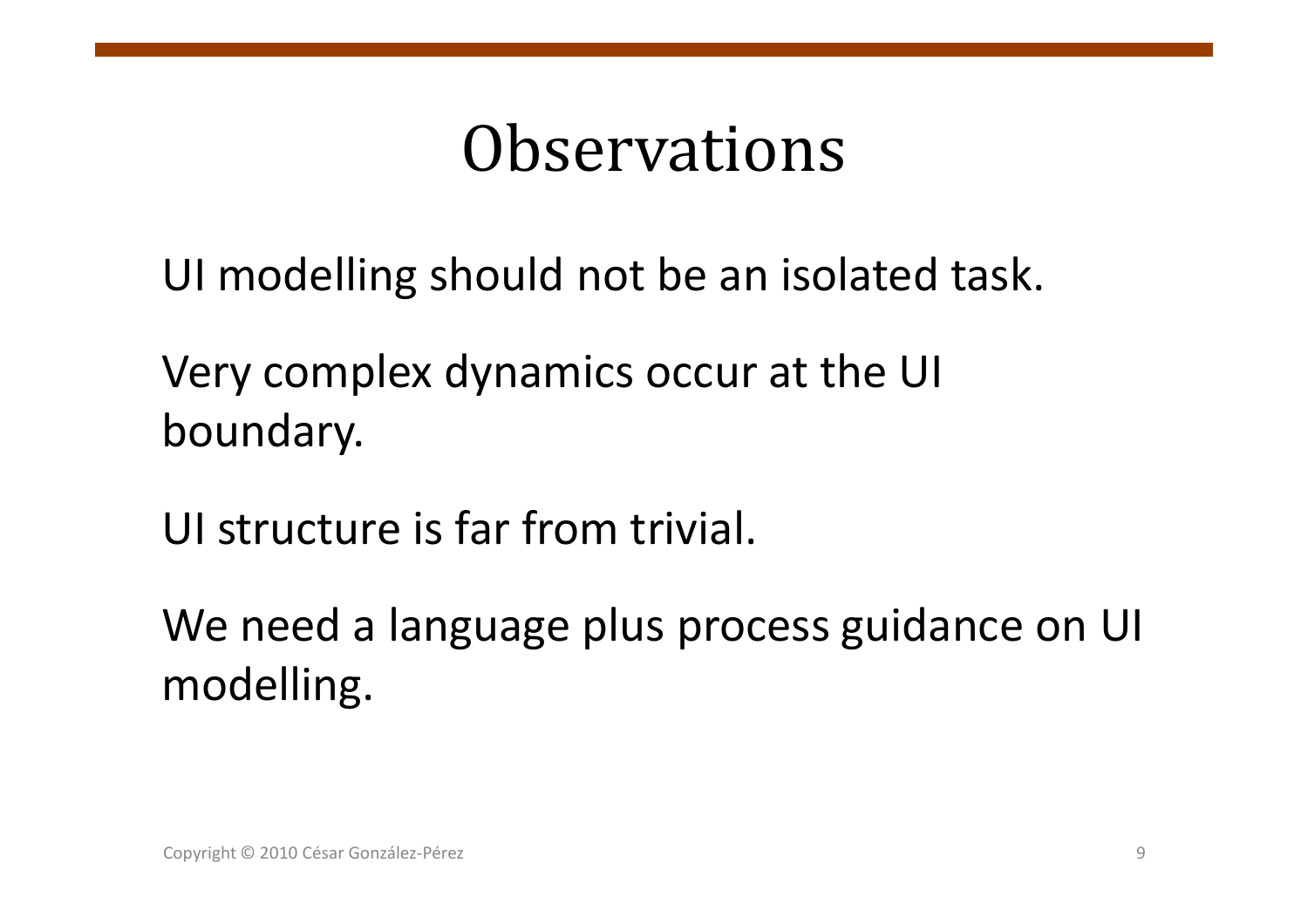## **Observations**

UI modelling should not be an isolated task.

Very complex dynamics occur at the UI boundary.

UI structure is far from trivial.

We need a language plus process guidance on UI modelling.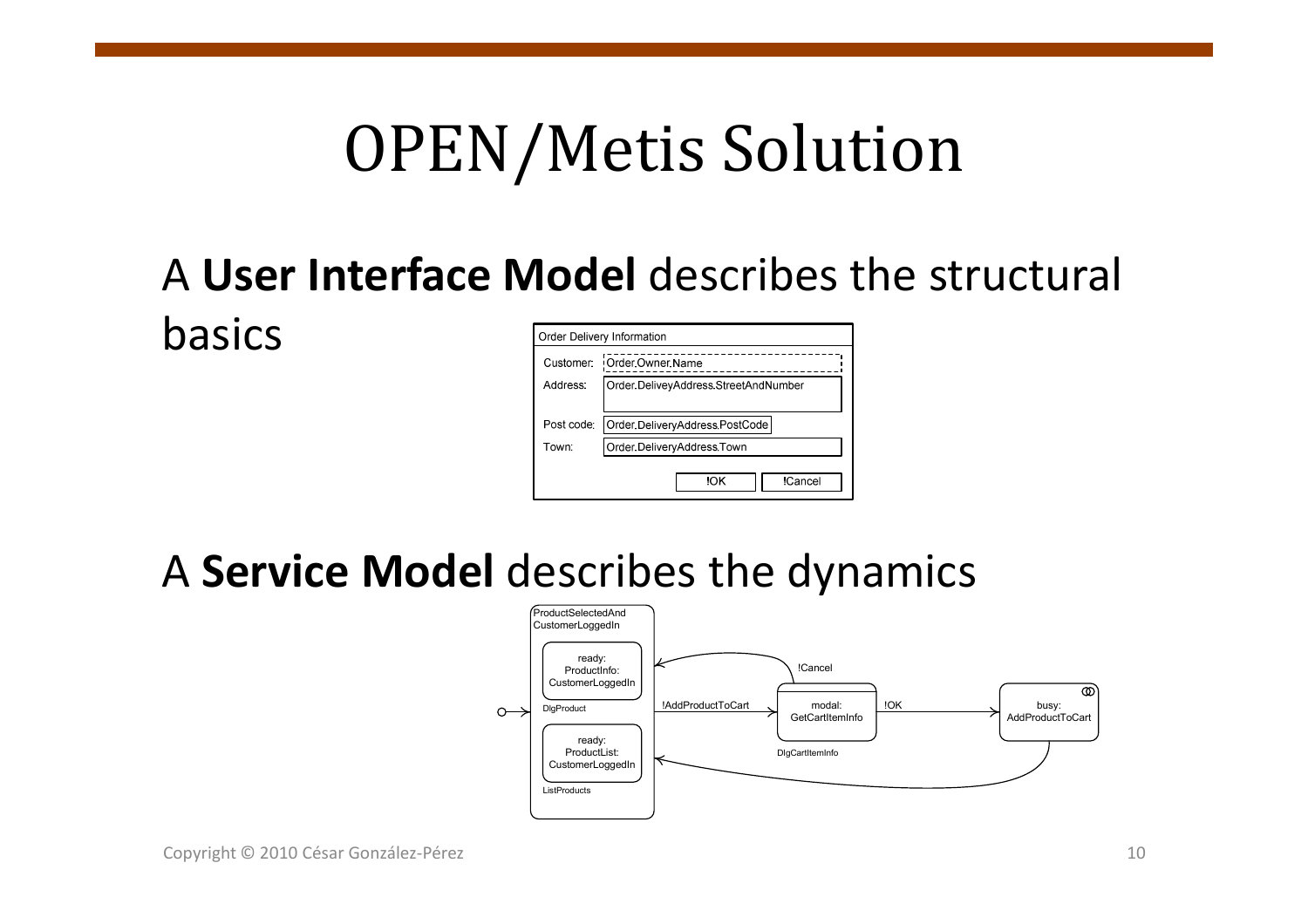## OPEN/Metis Solution

### <sup>A</sup>**User Interface Model** describes the structural basics

| Order Delivery Information |                                      |  |
|----------------------------|--------------------------------------|--|
| Customer:                  | Order Owner Name                     |  |
| Address:                   | Order DeliveyAddress StreetAndNumber |  |
|                            |                                      |  |
| Post code:                 | Order DeliveryAddress PostCode       |  |
| Town:                      | Order DeliveryAddress Town           |  |
|                            |                                      |  |
|                            | <b>ICancel</b><br>ЮK                 |  |
|                            |                                      |  |

### <sup>A</sup>**Service Model** describes the dynamics

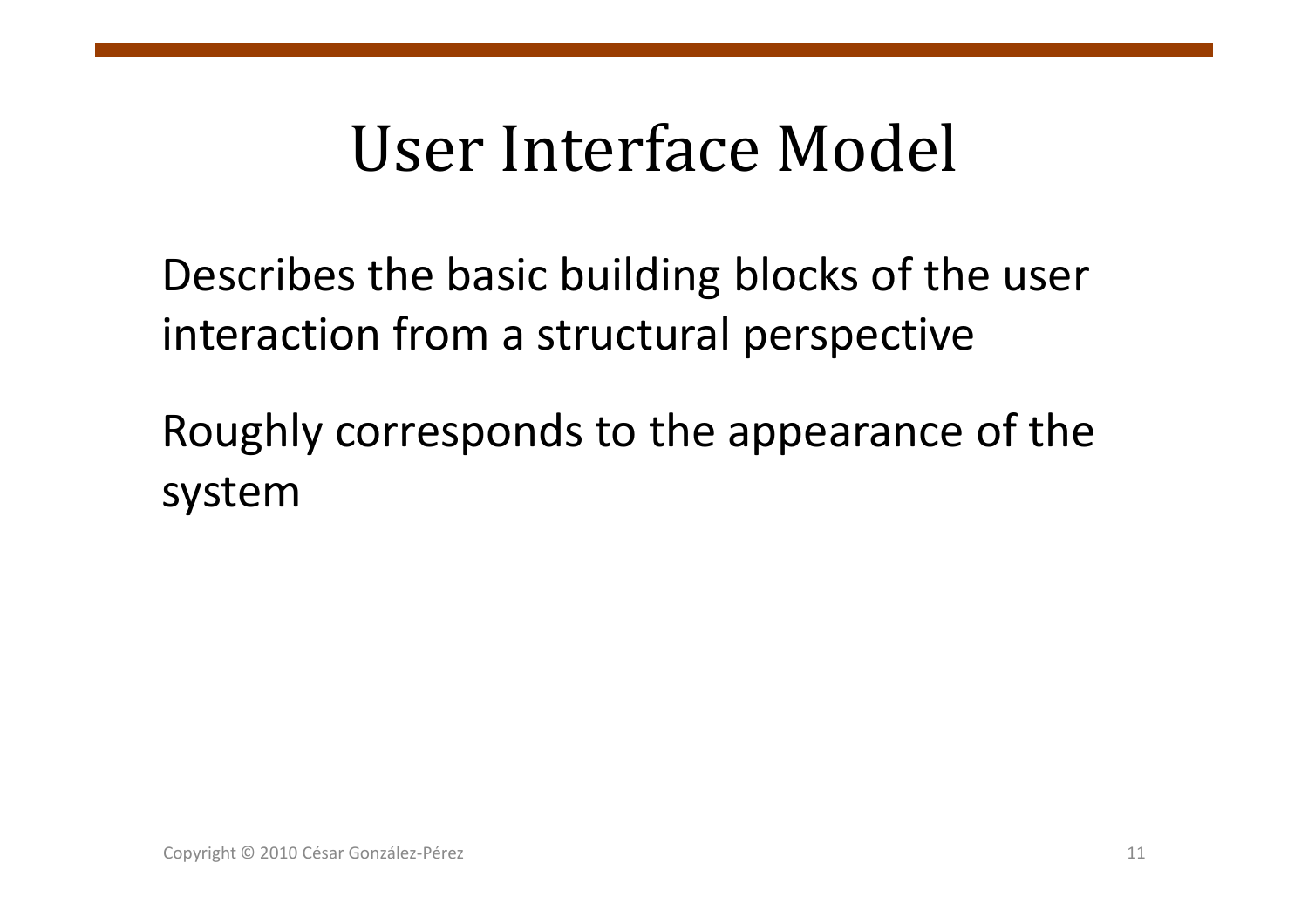Describes the basic building blocks of the user interaction from a structural perspective

Roughly corresponds to the appearance of the system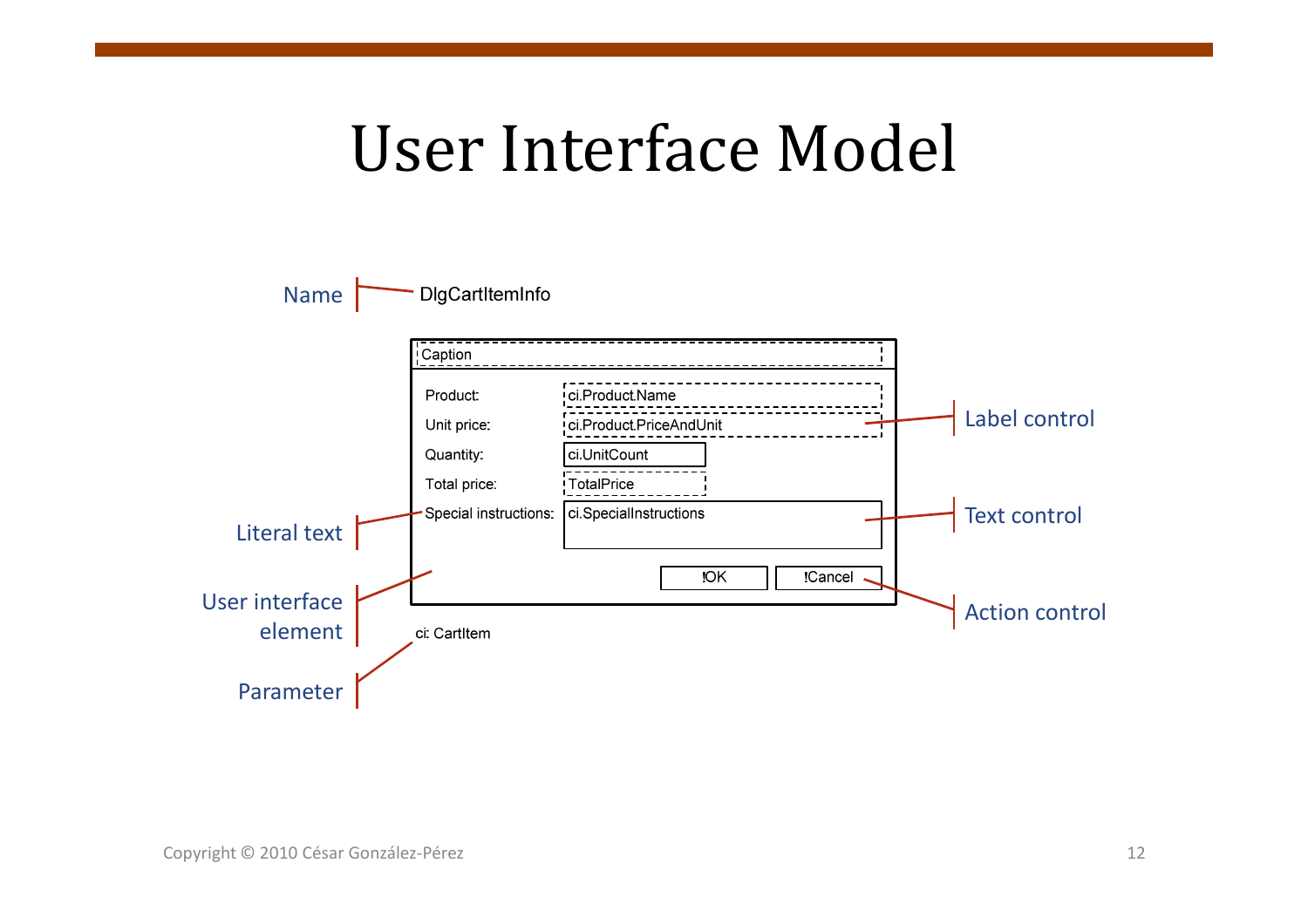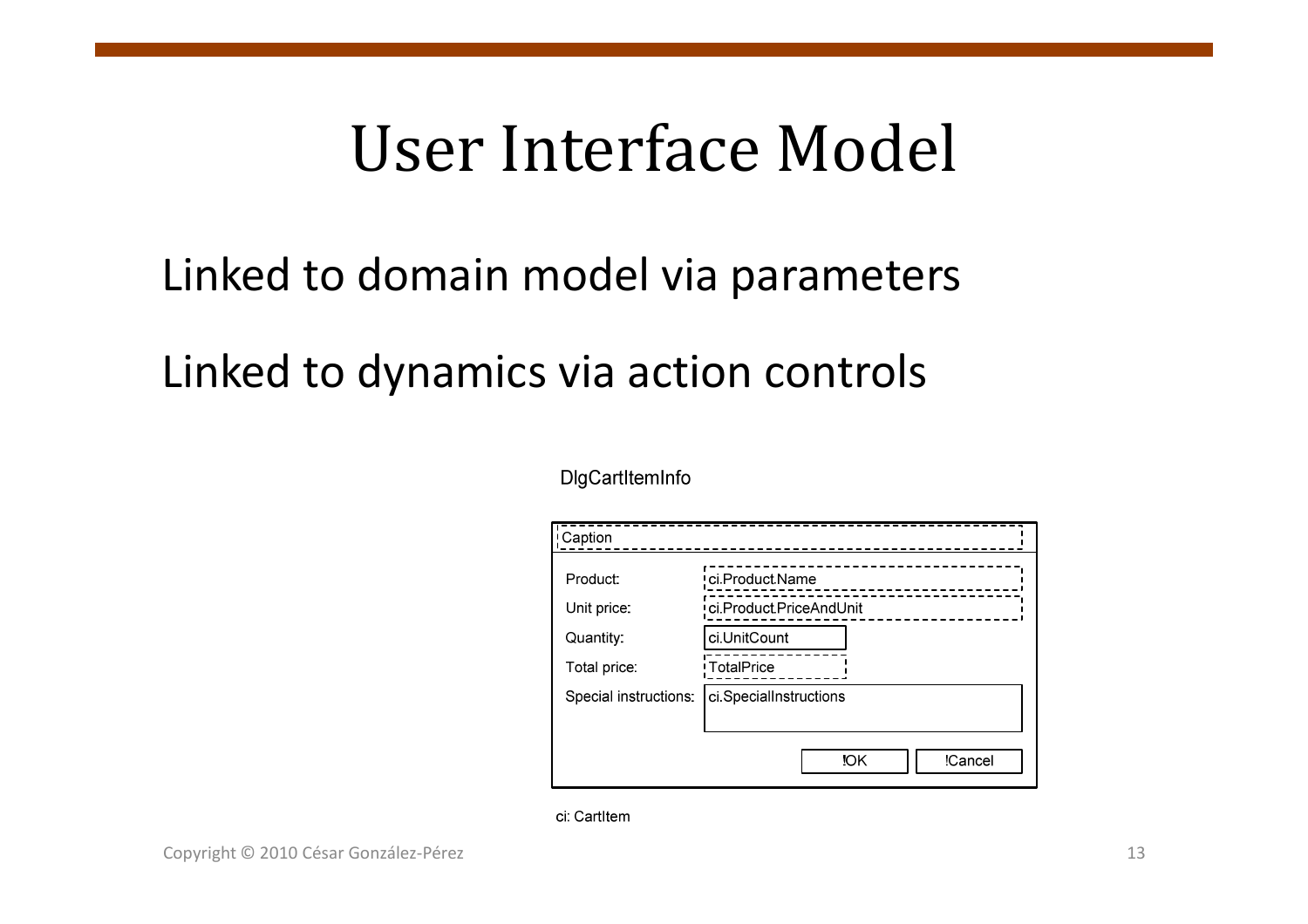## Linked to domain model via parameters

## Linked to dynamics via action controls

#### DigCartItemInfo

| ! Caption             |                         |
|-----------------------|-------------------------|
| Product:              | ci.Product.Name         |
| Unit price:           | ci.Product.PriceAndUnit |
| Quantity:             | ci.UnitCount            |
| Total price:          | <b>TotalPrice</b>       |
| Special instructions: | ci.SpecialInstructions  |
|                       |                         |
|                       | <b>IOK</b><br>!Cancel   |

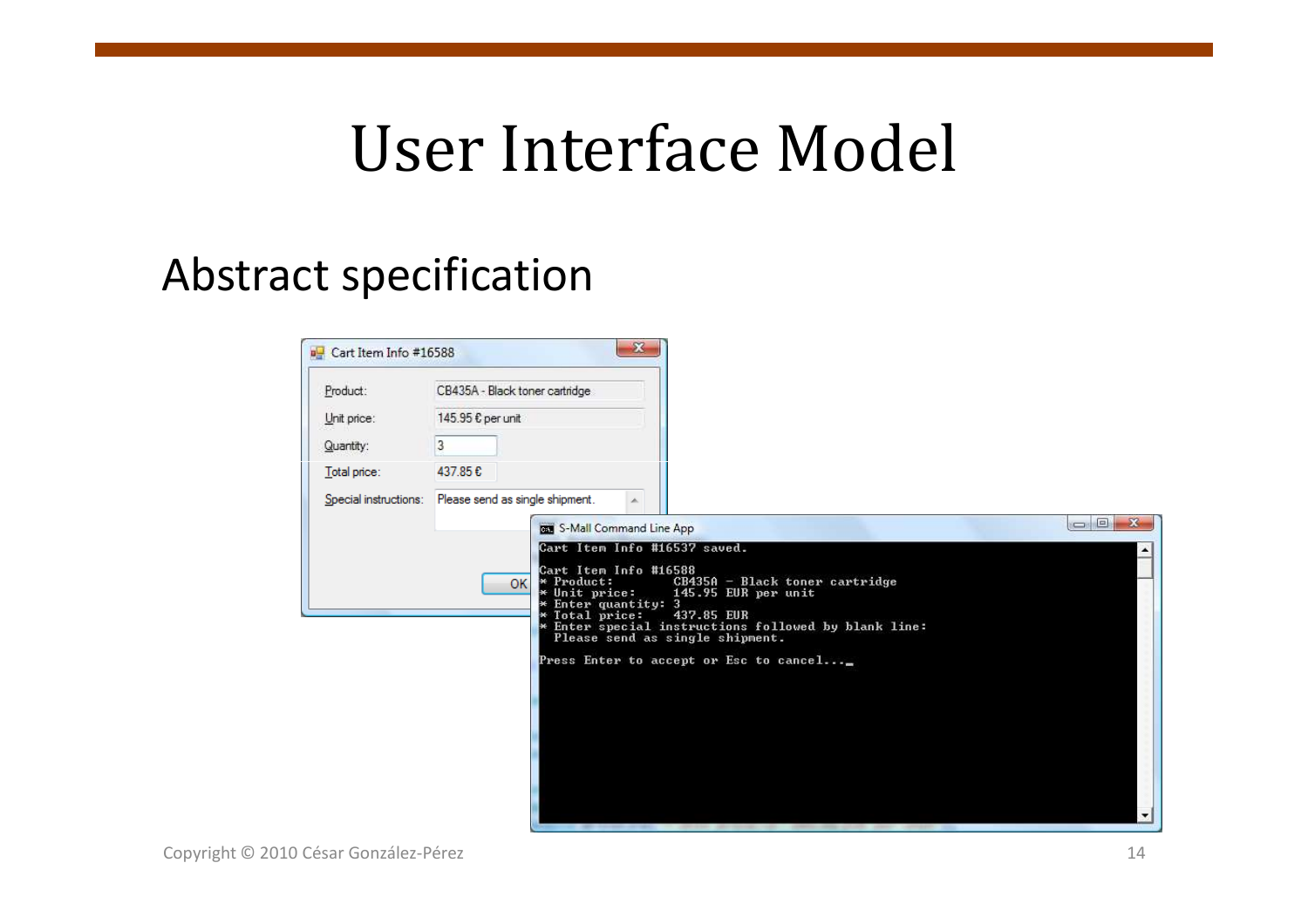### Abstract specification

| Cart Item Info #16588 | $\mathbf{x}$                                                                                                                                  |                                                                                                                                                                                                            |
|-----------------------|-----------------------------------------------------------------------------------------------------------------------------------------------|------------------------------------------------------------------------------------------------------------------------------------------------------------------------------------------------------------|
| Product:              | CB435A - Black toner cartridge                                                                                                                |                                                                                                                                                                                                            |
| Unit price:           | 145.95 € per unit                                                                                                                             |                                                                                                                                                                                                            |
| Quantity:             | $\overline{3}$                                                                                                                                |                                                                                                                                                                                                            |
| Total price:          | 437.85€                                                                                                                                       |                                                                                                                                                                                                            |
| Special instructions: | Please send as single shipment.                                                                                                               |                                                                                                                                                                                                            |
|                       | <b>BET</b> S-Mall Command Line App                                                                                                            | $\Box$ $\Box$ $\chi$                                                                                                                                                                                       |
|                       | Cart Item Info #16537 saved.<br>Cart Item Info #16588<br>* Product:<br><b>OK</b><br>* Unit price: 14<br>* Enter quantity: 3<br>* Total price: | $CB435A - Black toner cartridge$<br>145.95 EUR per unit<br>437.85 EUR<br>* Enter special instructions followed by blank line:<br>Please send as single shipment.<br>Press Enter to accept or Esc to cancel |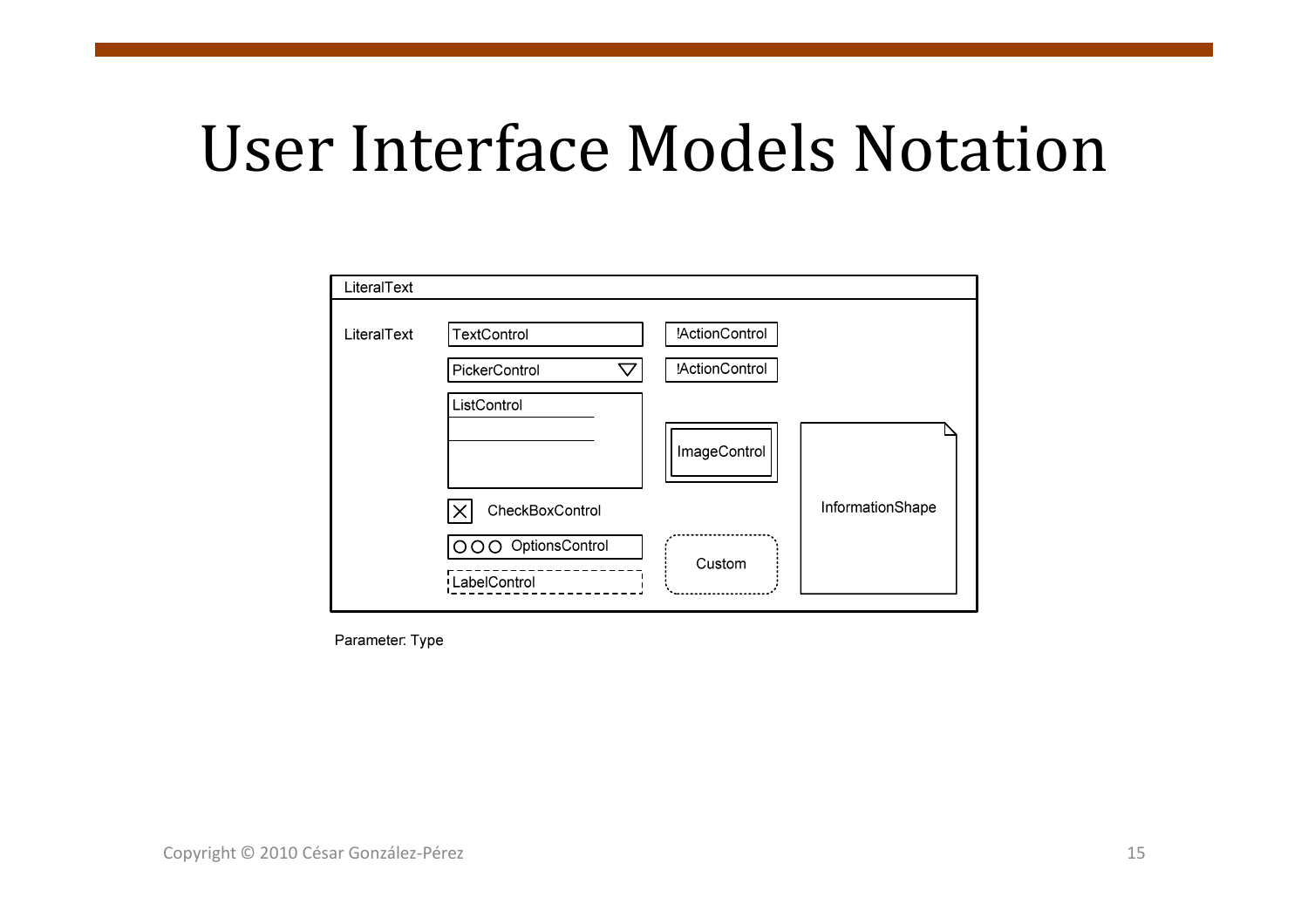## User Interface Models Notation

| LiteralText |                                       |                                         |                  |
|-------------|---------------------------------------|-----------------------------------------|------------------|
| LiteralText | TextControl<br>PickerControl<br>▽     | !ActionControl<br><b>!ActionControl</b> |                  |
|             | ListControl                           | ImageControl                            |                  |
|             | CheckBoxControl                       |                                         | InformationShape |
|             | OptionsControl<br>റററ<br>LabelControl | Custom                                  |                  |

Parameter: Type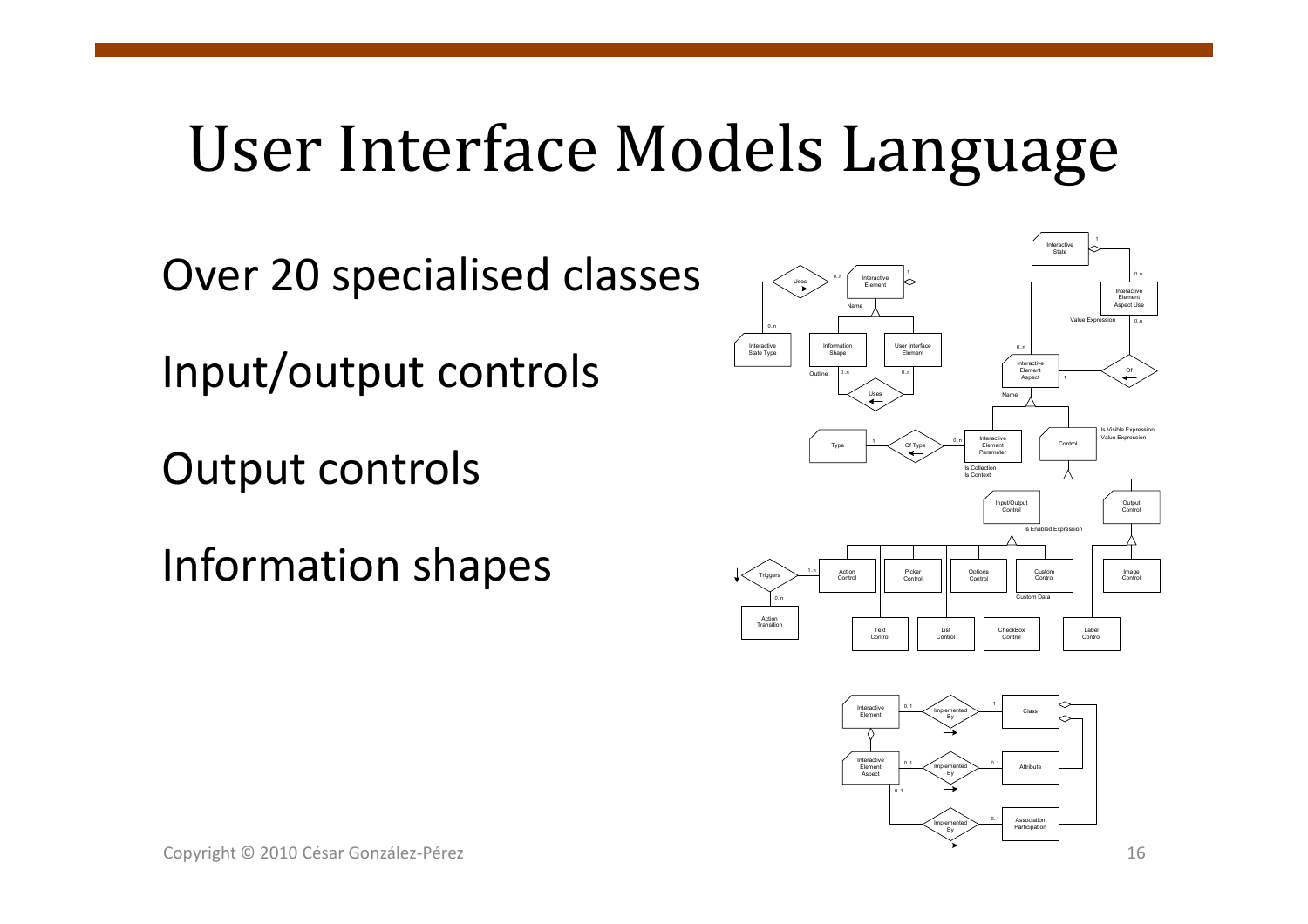## User Interface Models Language

Over 20 specialised classes

Input/output controls

Output controls

Information shapes



Participation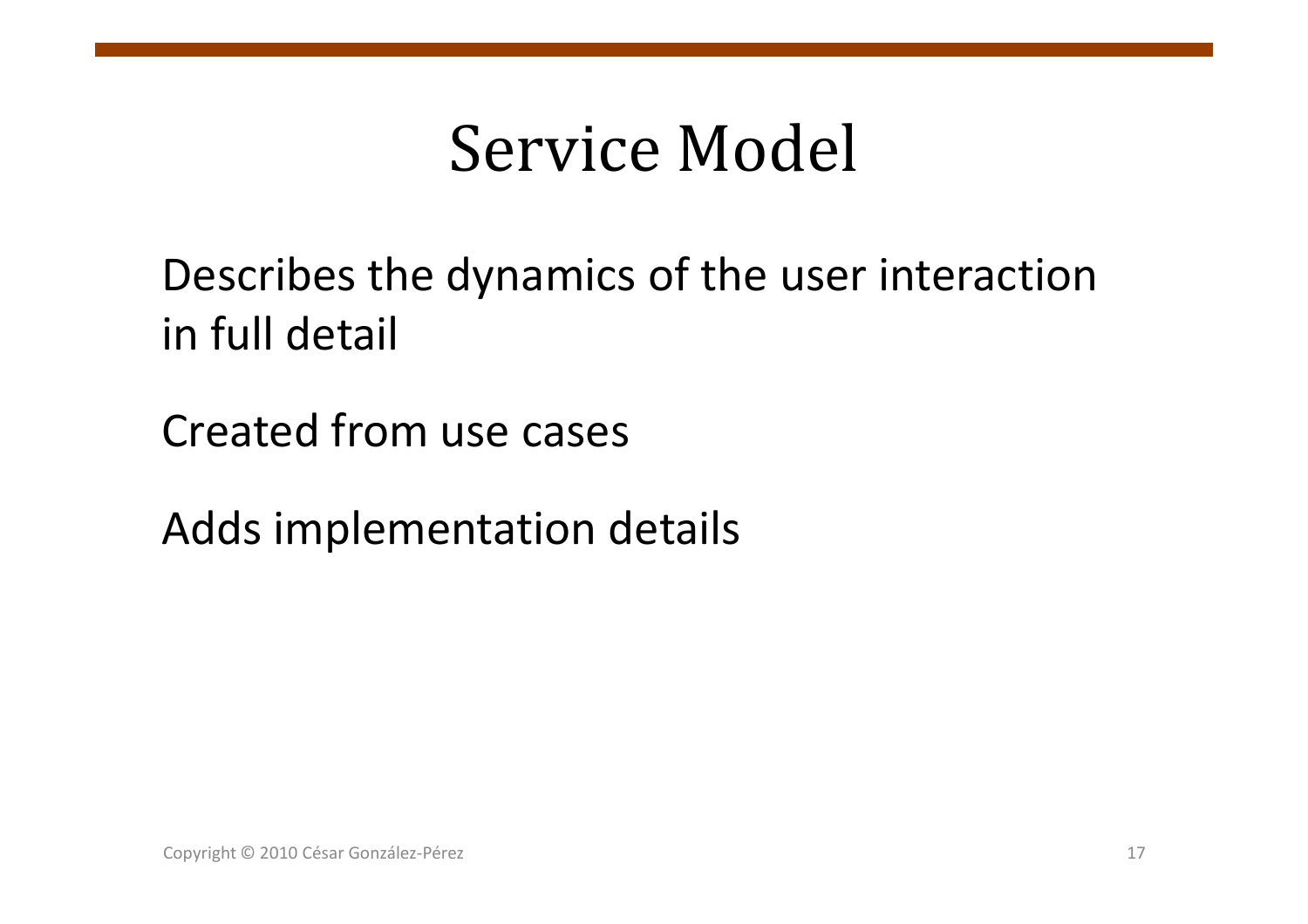# Service Model

Describes the dynamics of the user interactionin full detail

Created from use cases

Adds implementation details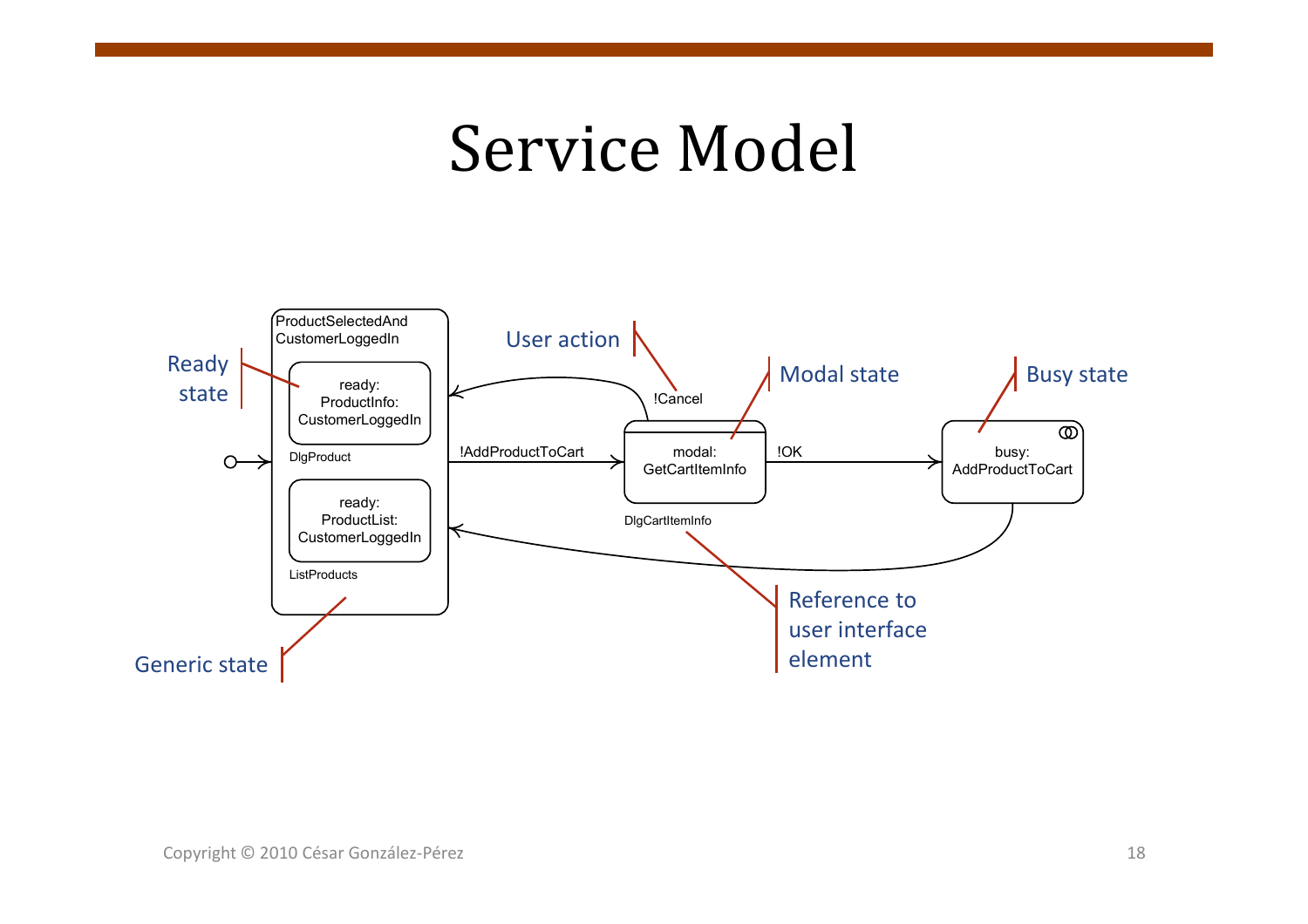## Service Model

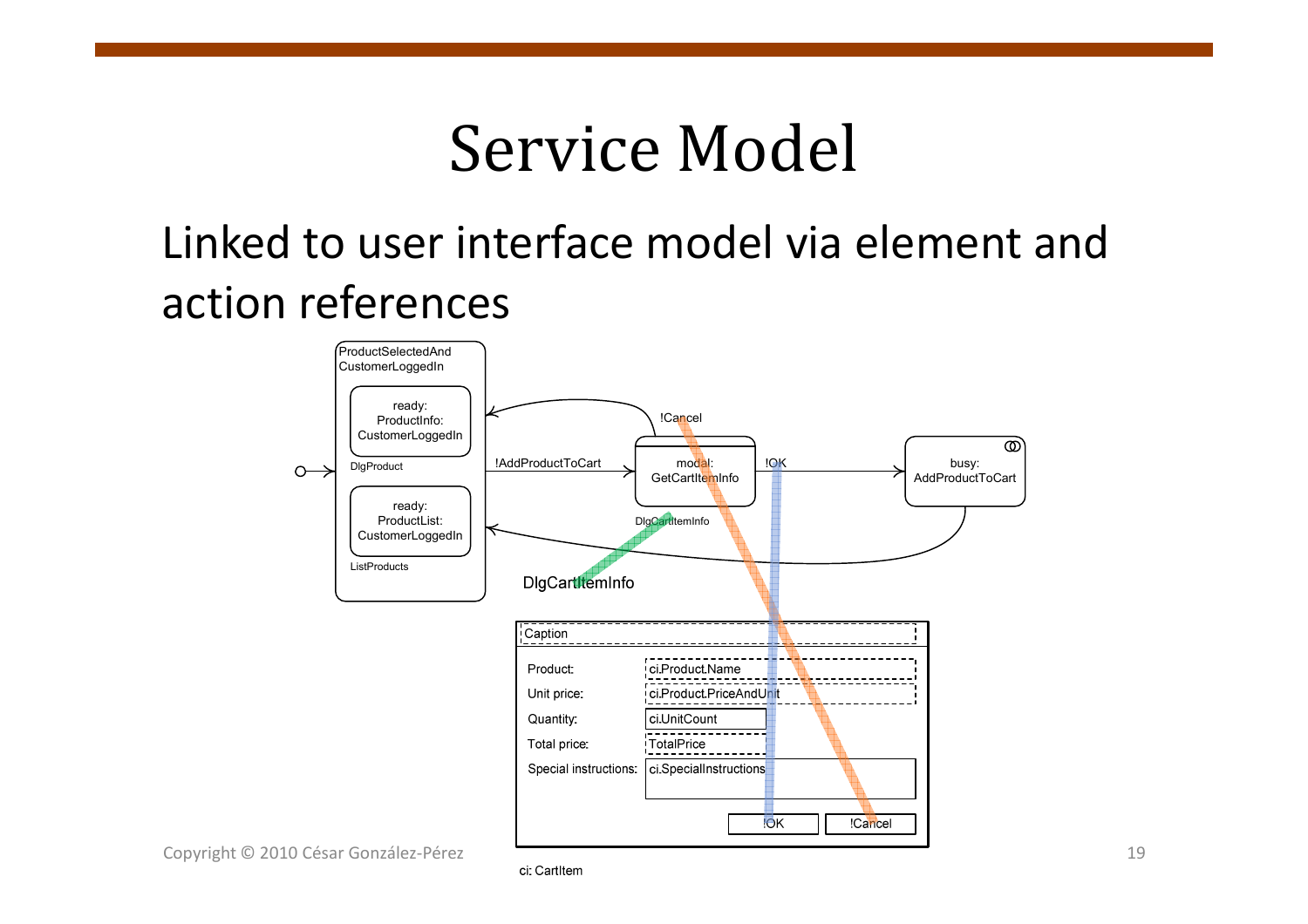# Service Model

### Linked to user interface model via element and action references



Copyright © 2010 César González-Pérez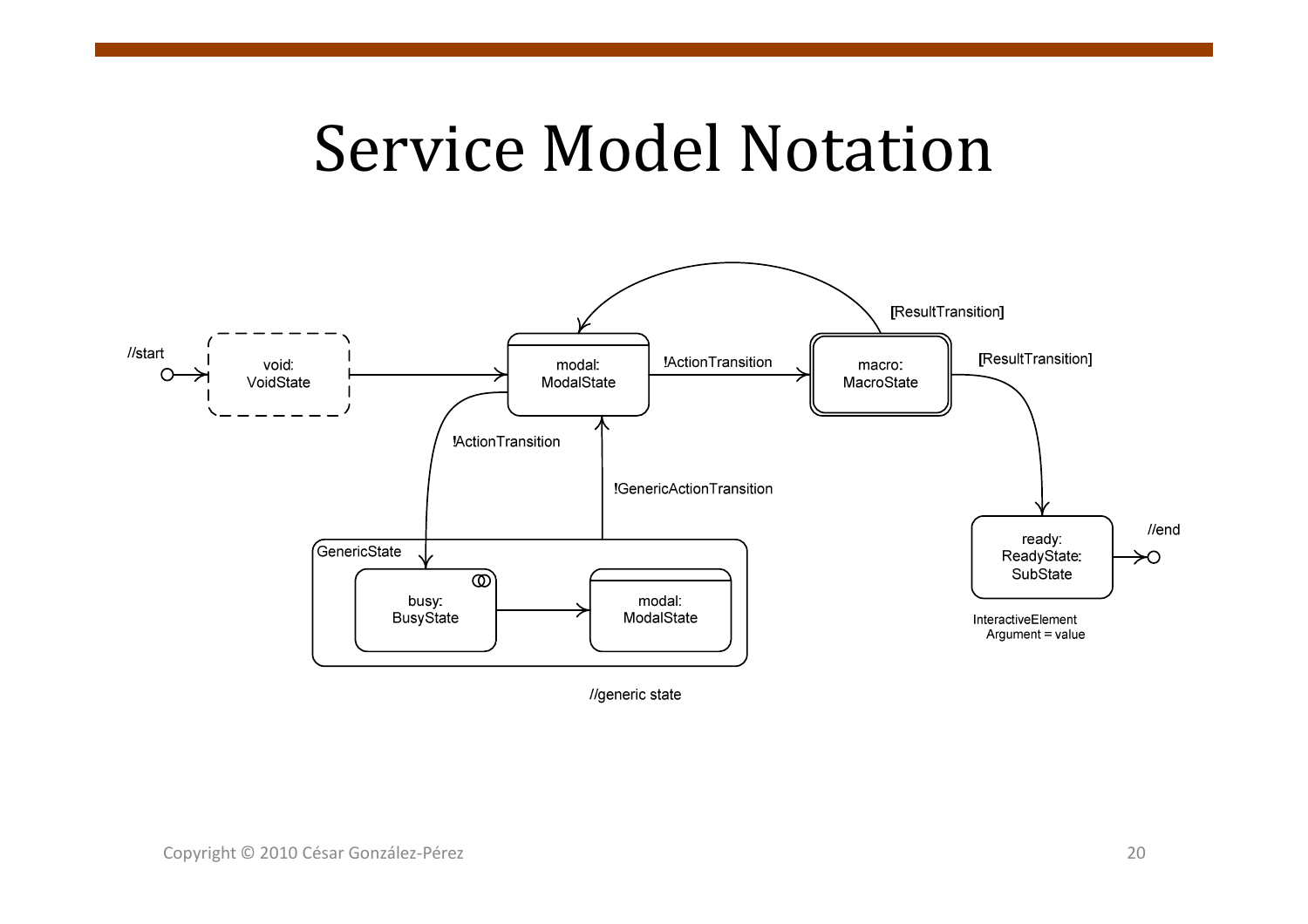# Service Model Notation



//generic state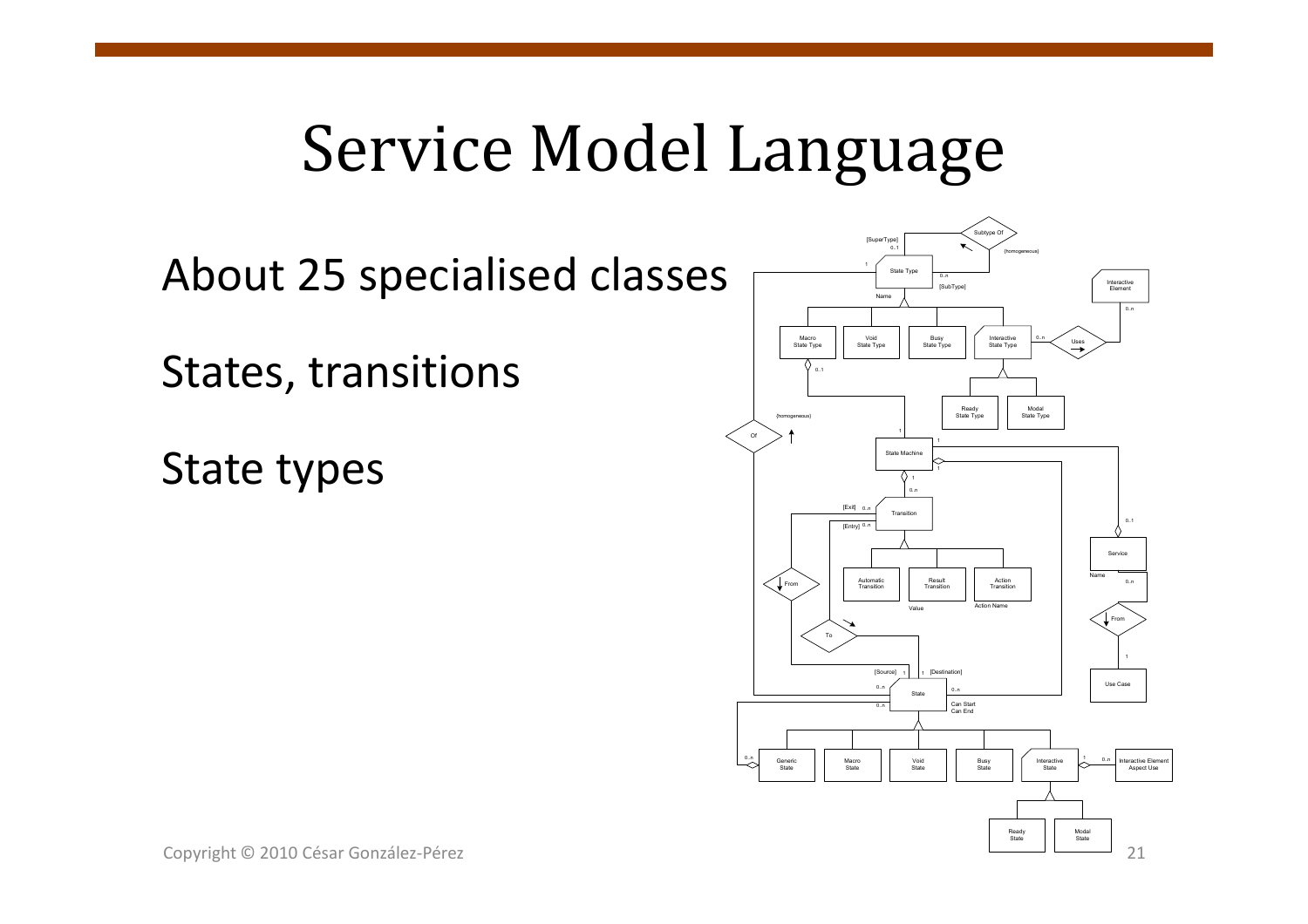# Service Model Language

About 25 specialised classes

States, transitions

State types

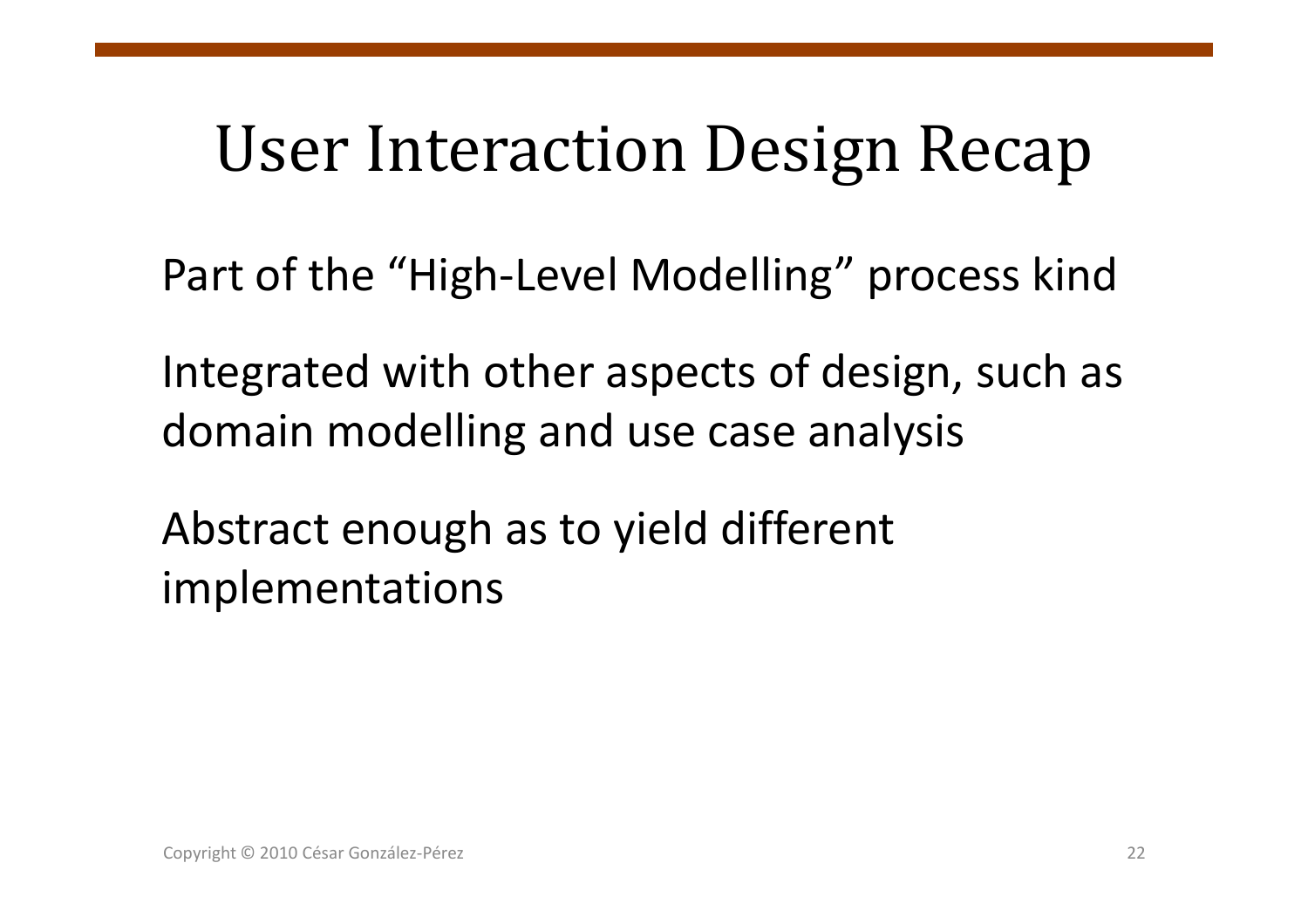# User Interaction Design Recap

Part of the "High-Level Modelling" process kind

Integrated with other aspects of design, such as domain modelling and use case analysis

Abstract enough as to yield different implementations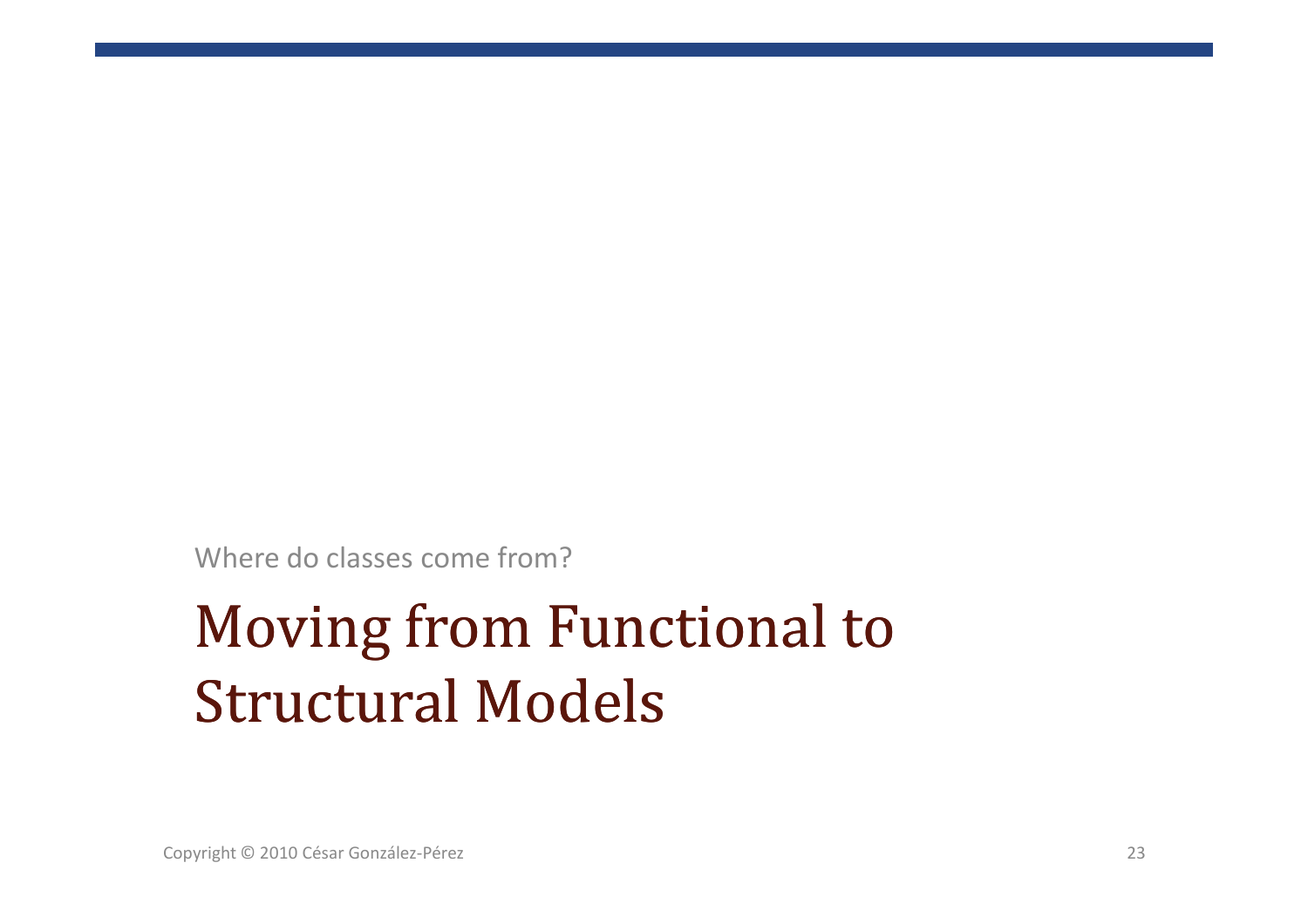Where do classes come from?

## Moving from Functional to<br>Structure LModels Structural Models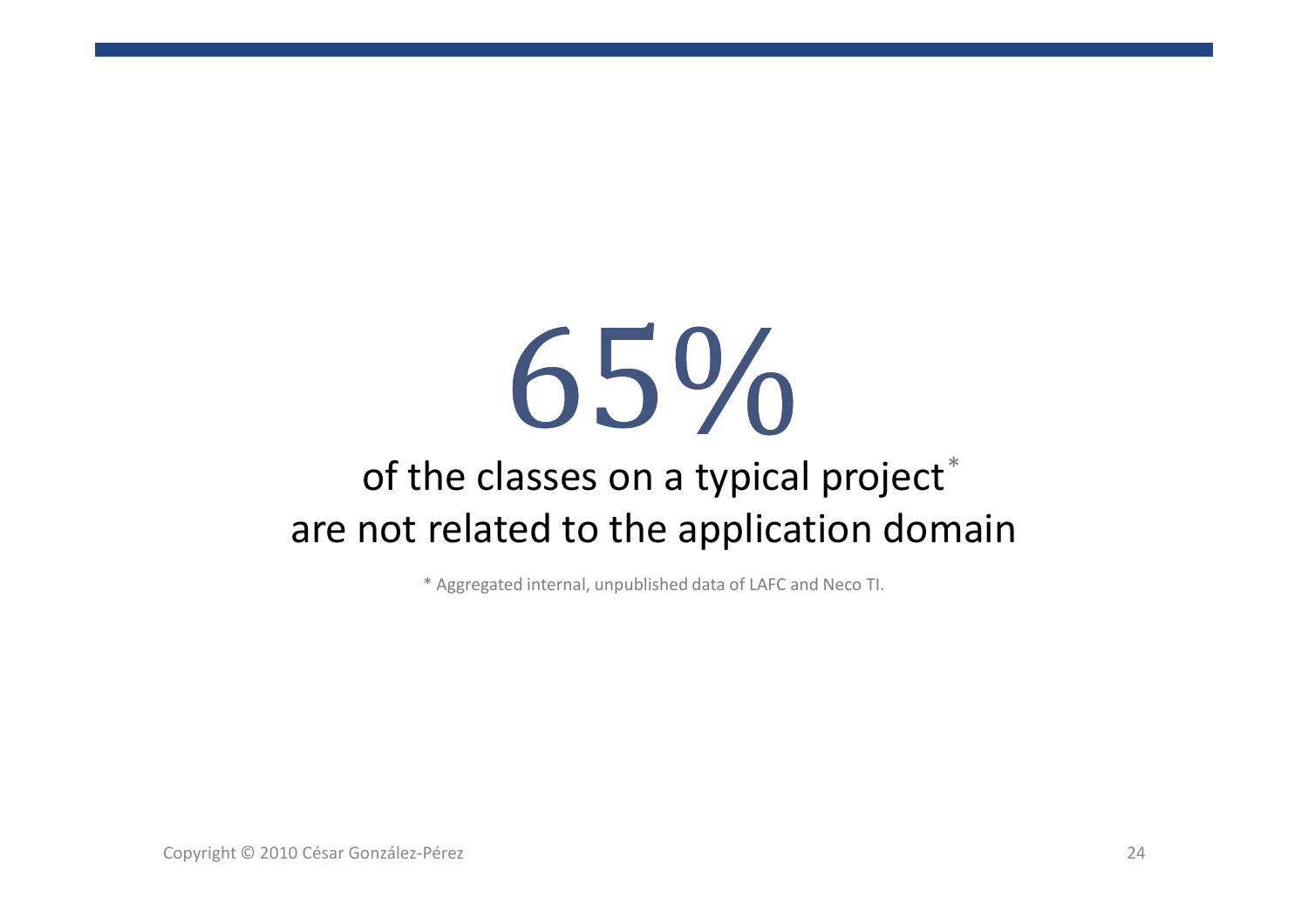# 65%

### of the classes on a typical project $^\ast$ are not related to the application domain

\* Aggregated internal, unpublished data of LAFC and Neco TI.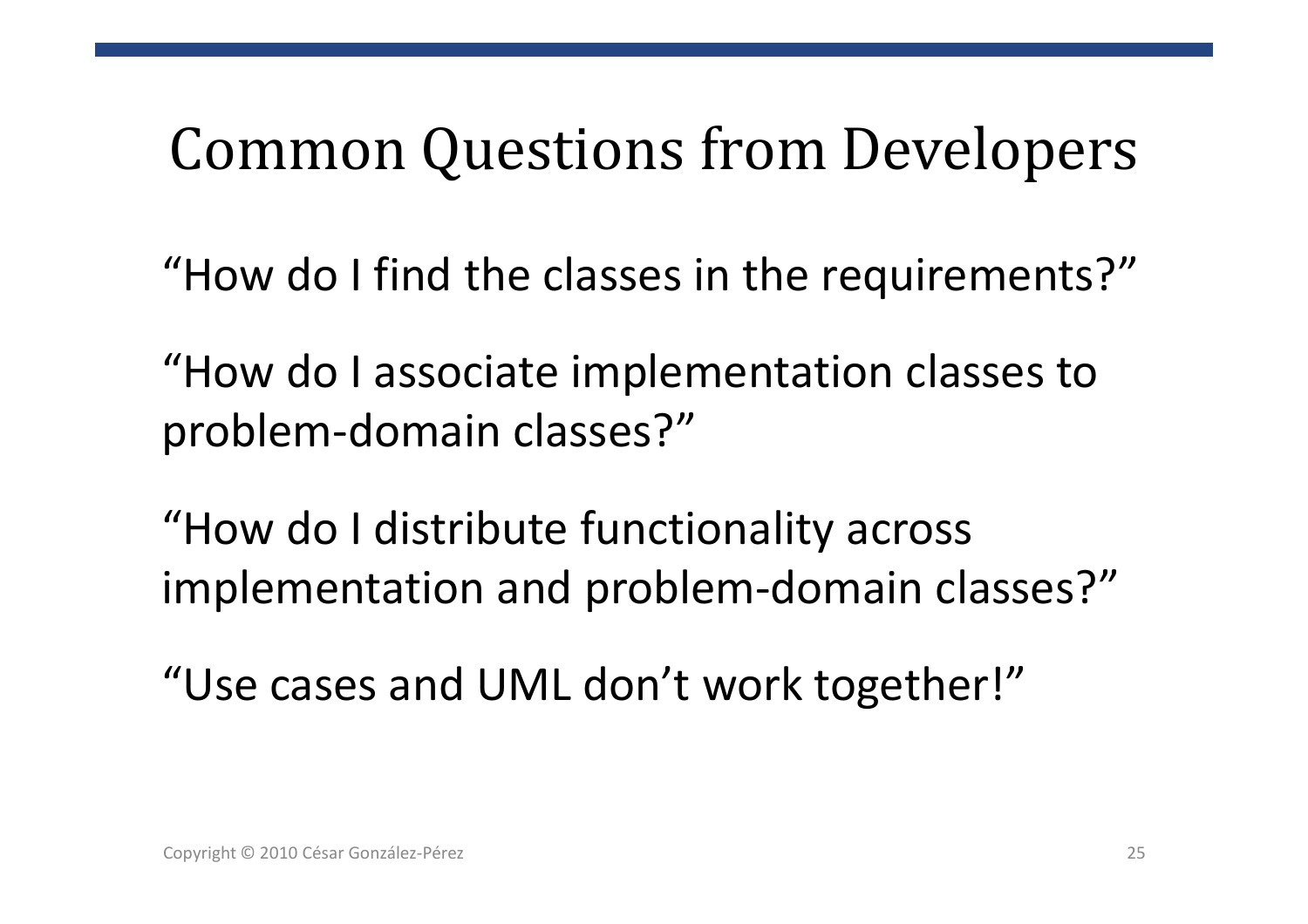# Common Questions from Developers

"How do I find the classes in the requirements?"

"How do I associate implementation classes to problem-domain classes?"

"How do I distribute functionality across implementation and problem-domain classes?"

"Use cases and UML don't work together!"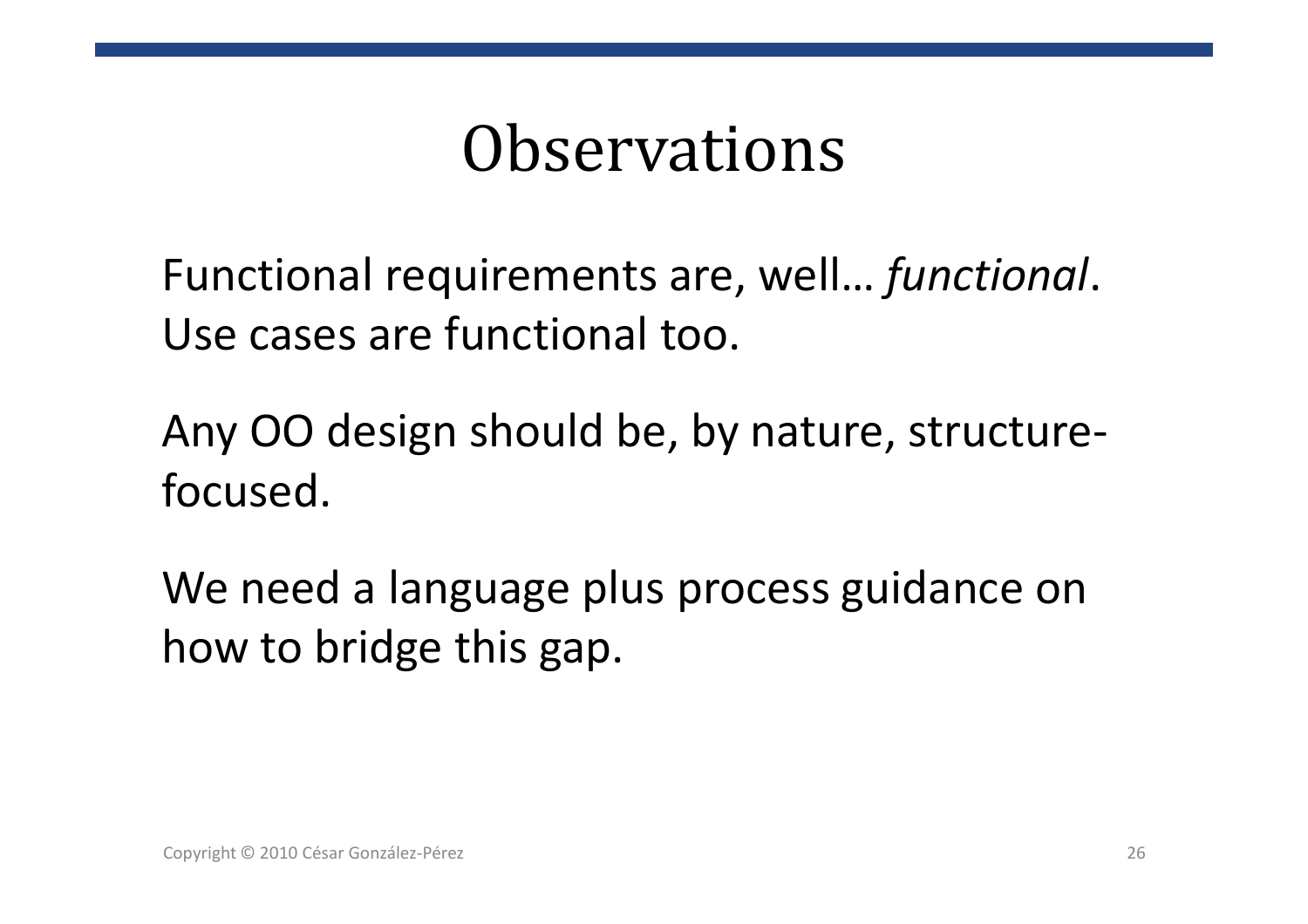## Observations

Functional requirements are, well… *functional*. Use cases are functional too.

Any OO design should be, by nature, structurefocused.

We need a language plus process guidance on how to bridge this gap.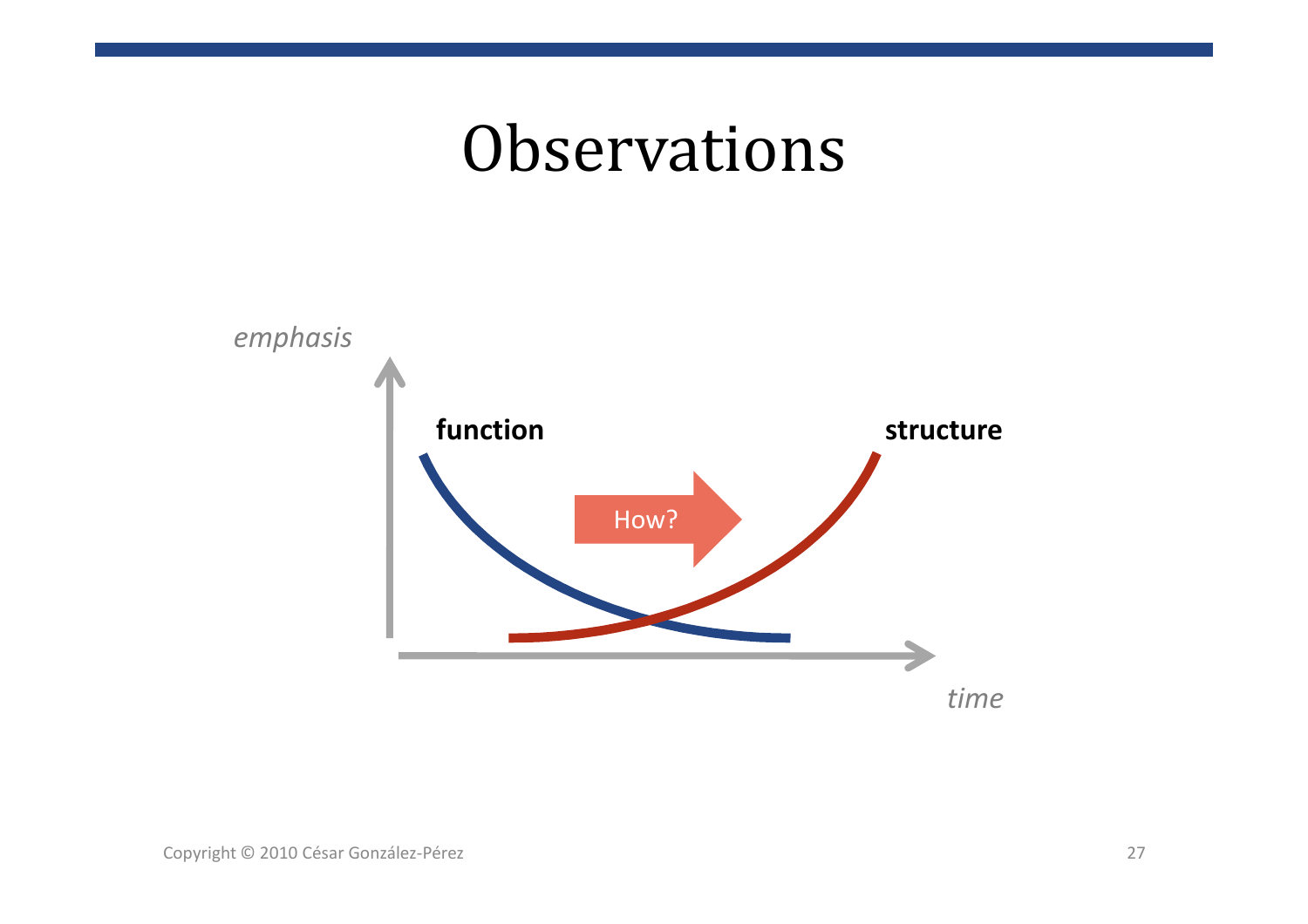## **Observations**

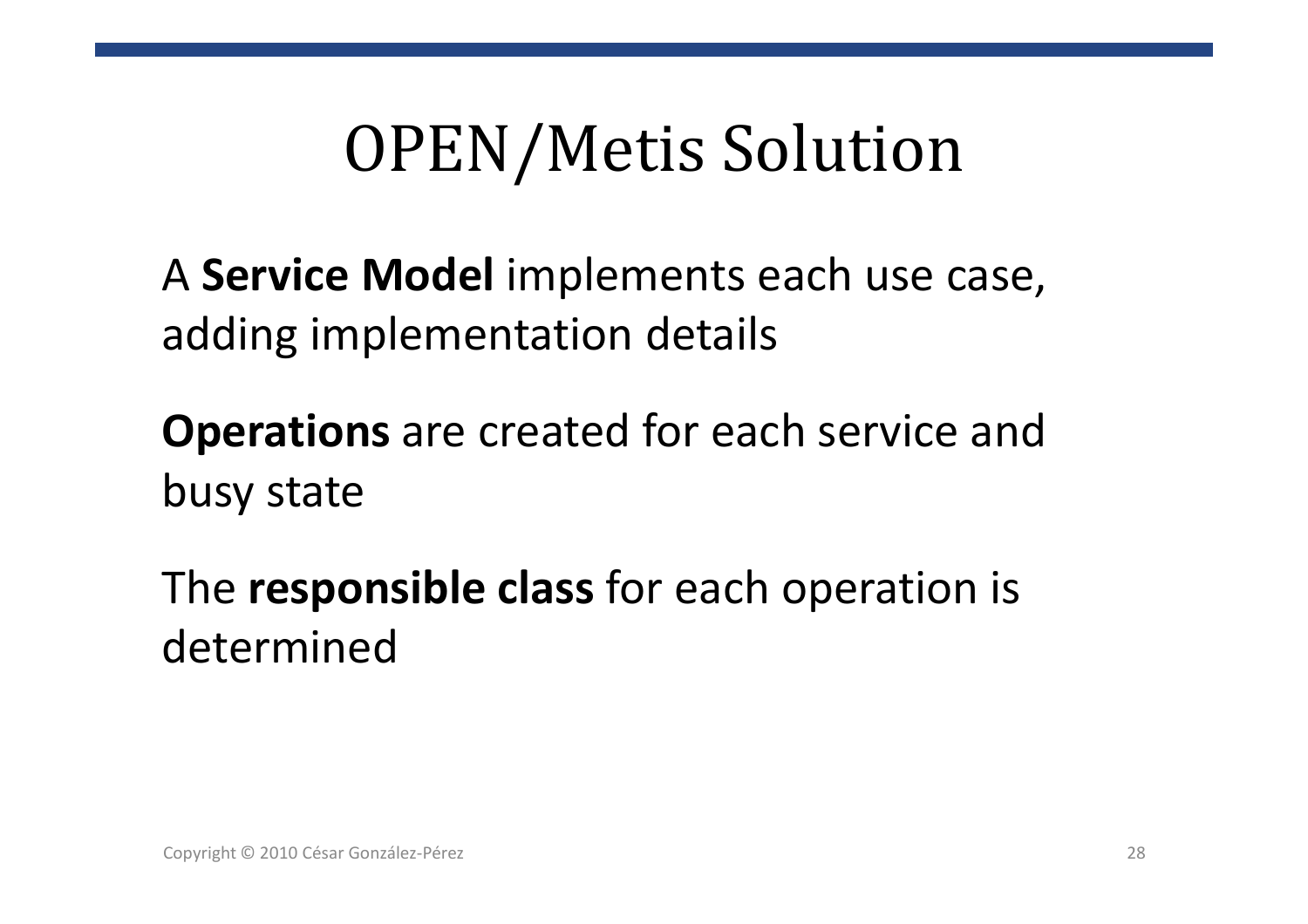## OPEN/Metis Solution

<sup>A</sup>**Service Model** implements each use case, adding implementation details

**Operations** are created for each service and busy state

The **responsible class** for each operation is determined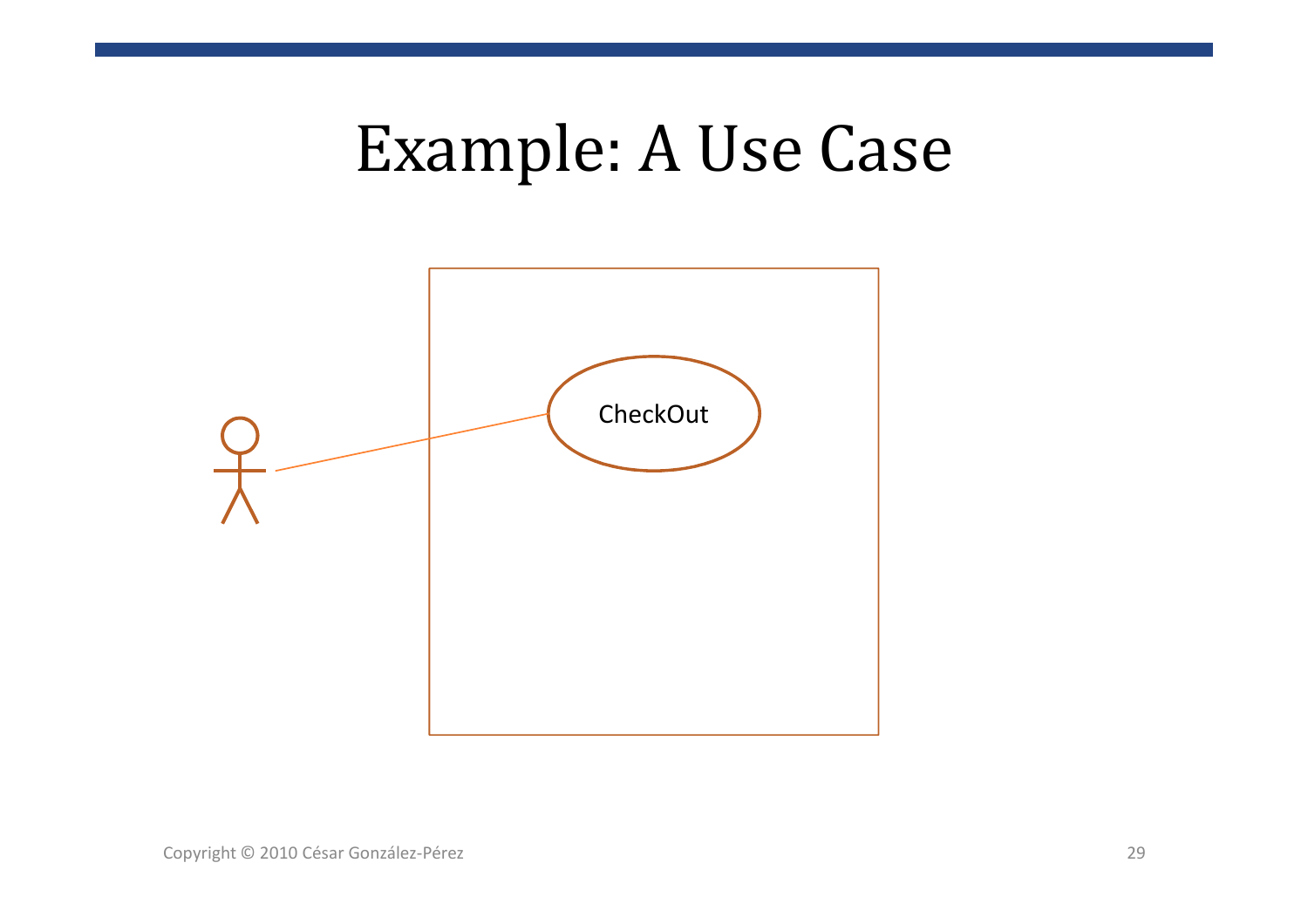## Example: A Use Case

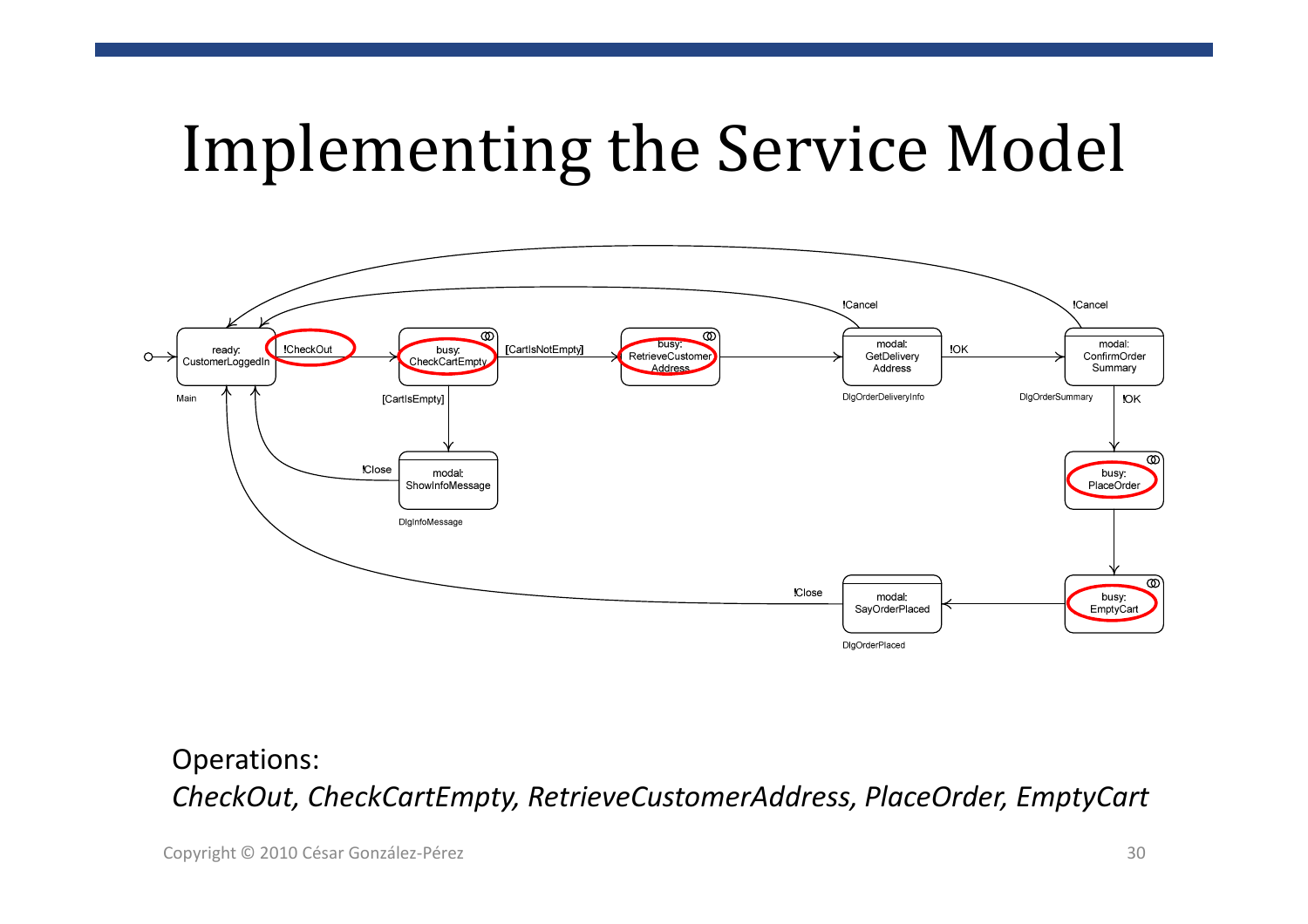# Implementing the Service Model



Operations:*CheckOut, CheckCartEmpty, RetrieveCustomerAddress, PlaceOrder, EmptyCart*

Copyright © 2010 César González-Pérez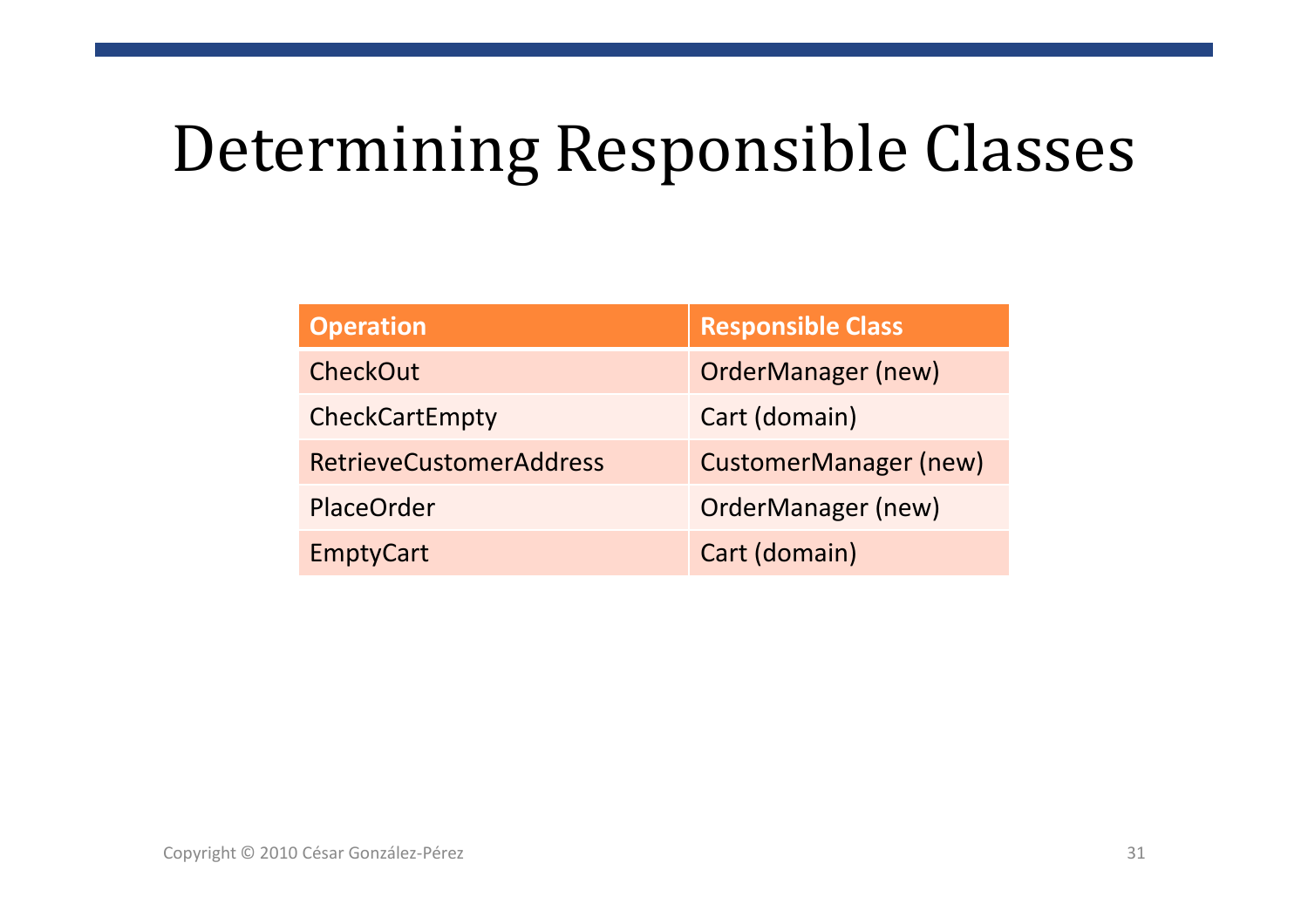# Determining Responsible Classes

| <b>Operation</b>               | <b>Responsible Class</b>     |  |
|--------------------------------|------------------------------|--|
| CheckOut                       | <b>OrderManager (new)</b>    |  |
| CheckCartEmpty                 | Cart (domain)                |  |
| <b>RetrieveCustomerAddress</b> | <b>CustomerManager (new)</b> |  |
| <b>PlaceOrder</b>              | <b>OrderManager (new)</b>    |  |
| <b>EmptyCart</b>               | Cart (domain)                |  |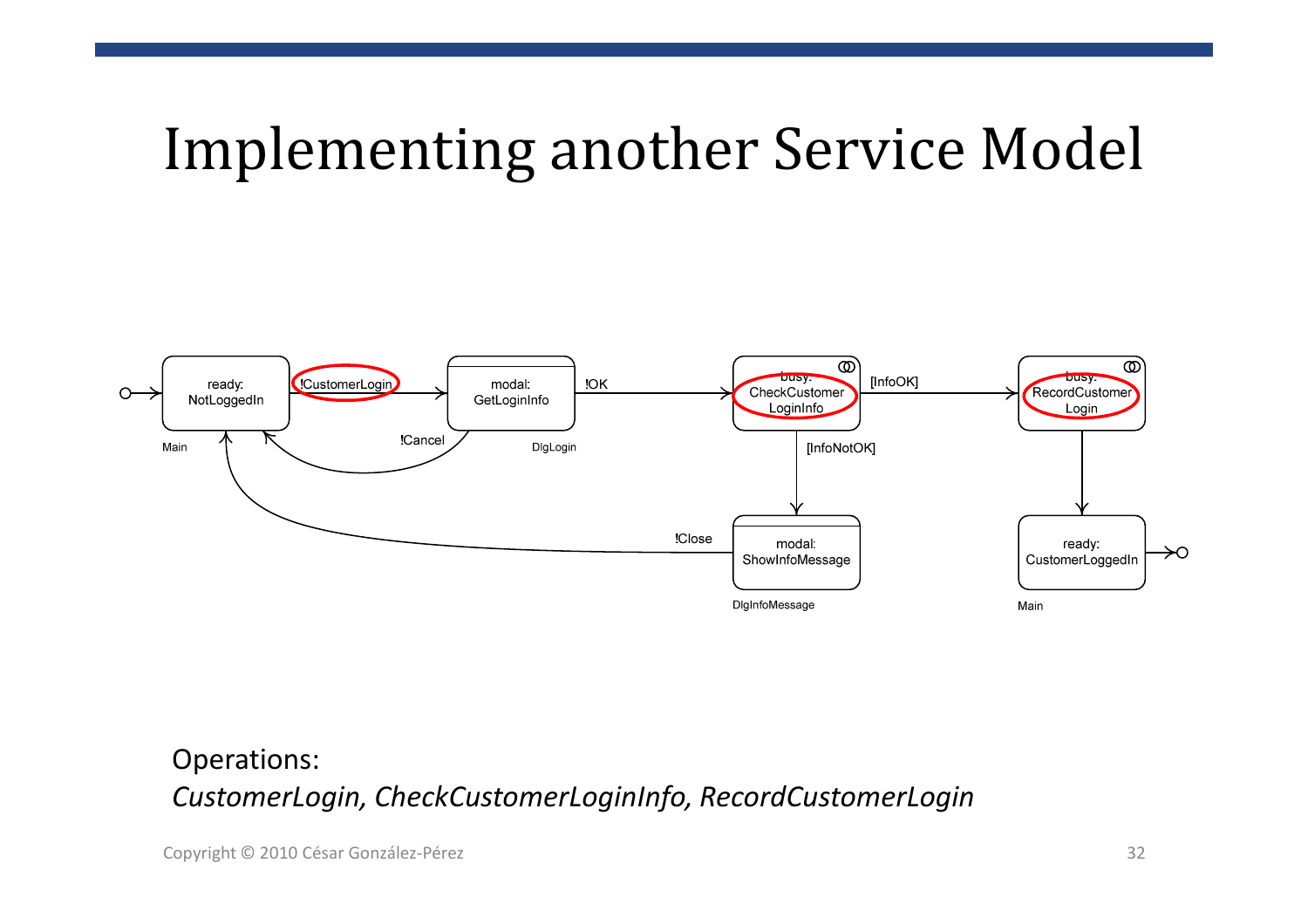## Implementing another Service Model



#### Operations:*CustomerLogin, CheckCustomerLoginInfo, RecordCustomerLogin*

Copyright © 2010 César González-Pérez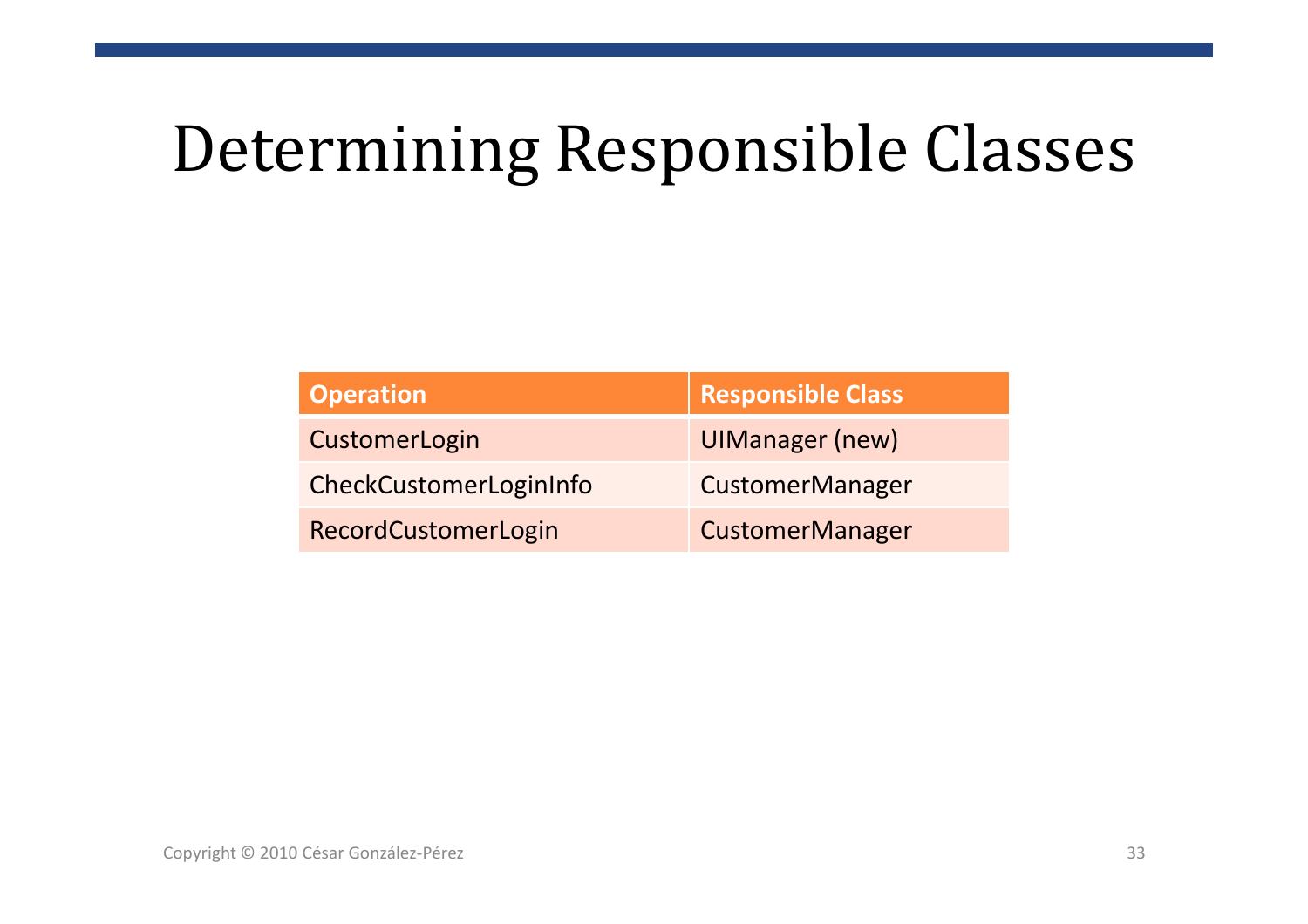# Determining Responsible Classes

| <b>Operation</b>       | <b>Responsible Class</b> |
|------------------------|--------------------------|
| CustomerLogin          | <b>UIManager (new)</b>   |
| CheckCustomerLoginInfo | <b>CustomerManager</b>   |
| RecordCustomerLogin    | <b>CustomerManager</b>   |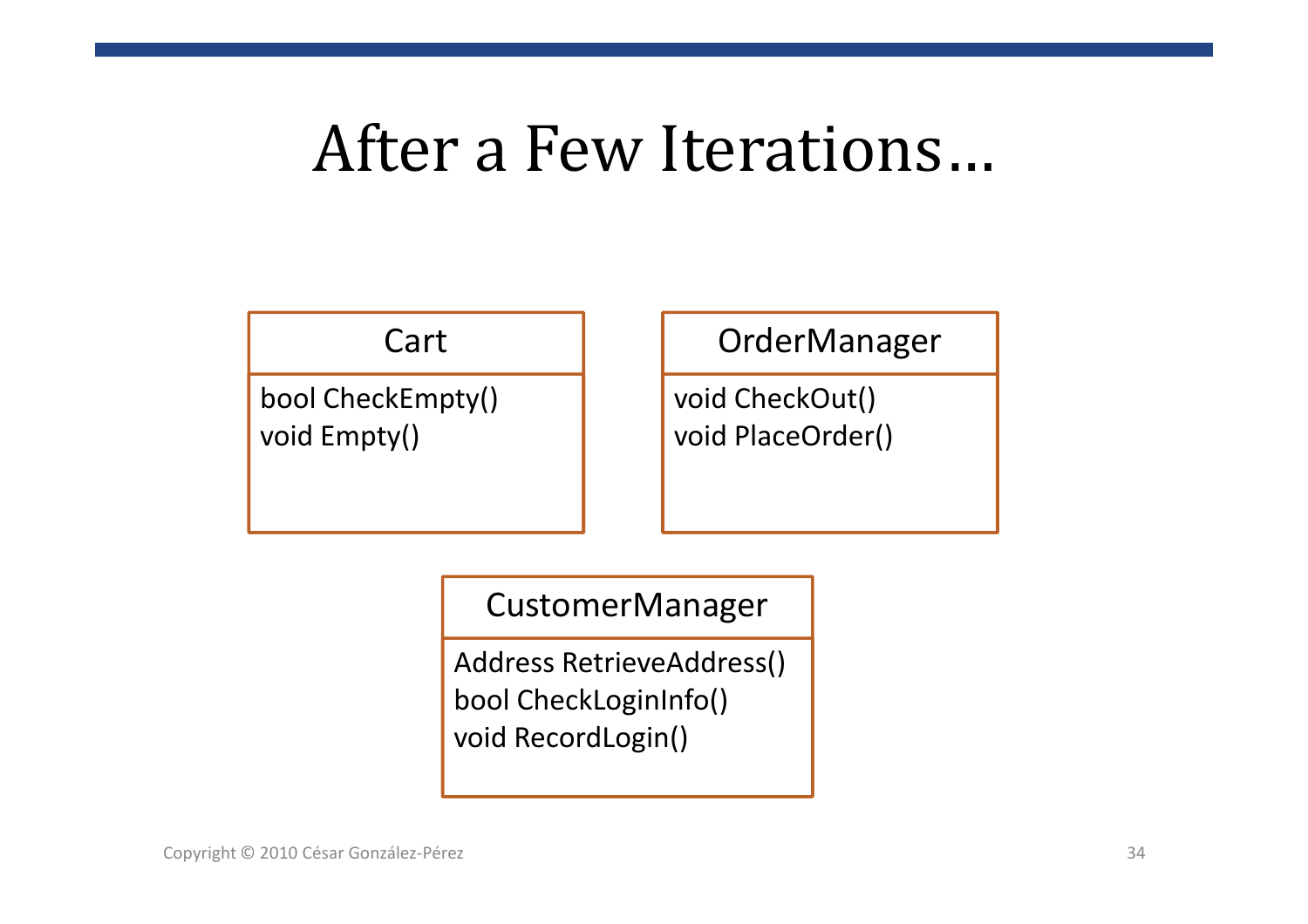# After a Few Iterations…

### Cart

bool CheckEmpty() void Empty()

### OrderManager

void CheckOut() void PlaceOrder()

### CustomerManager

Address RetrieveAddress() bool CheckLoginInfo() void RecordLogin()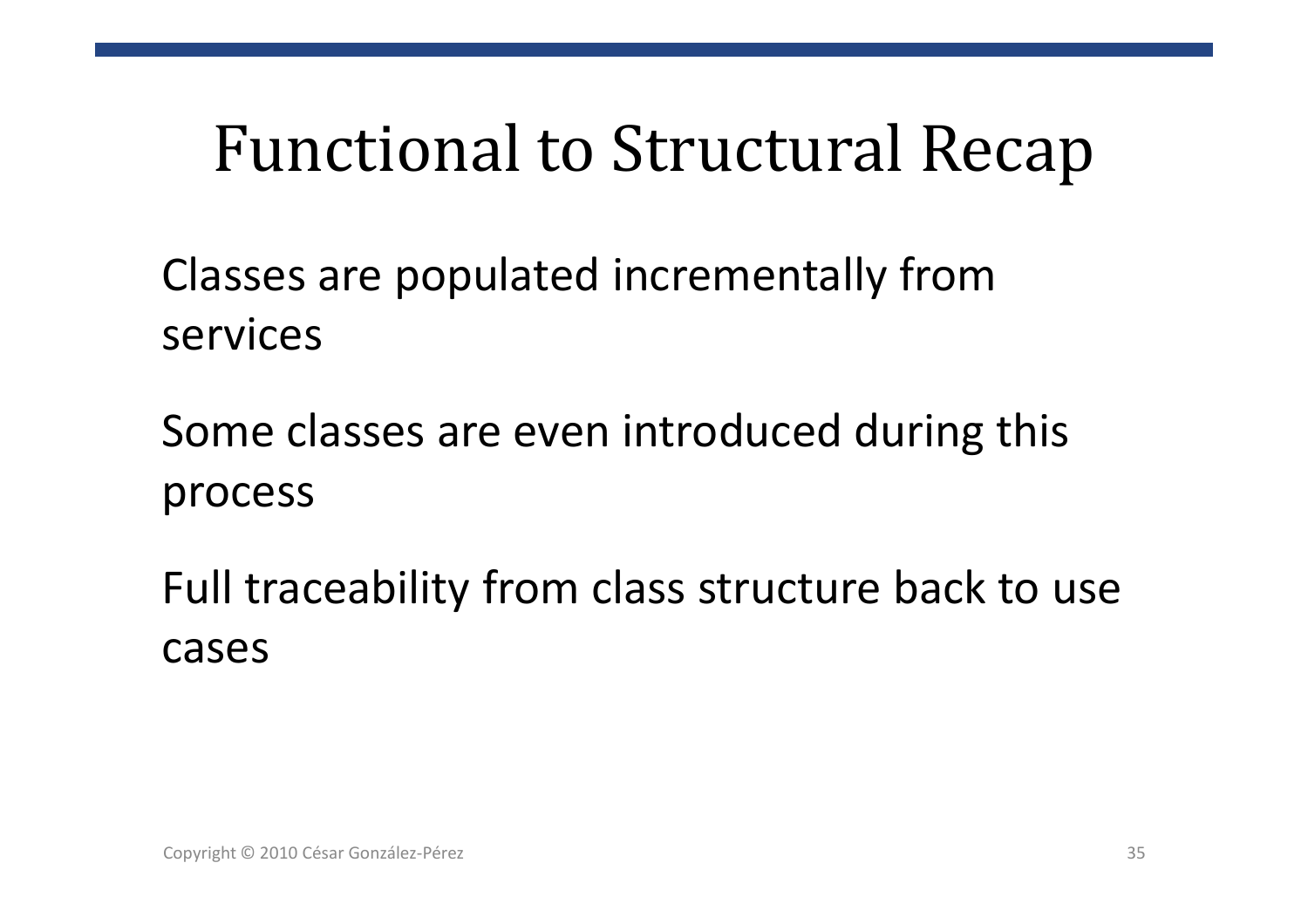## Functional to Structural Recap

Classes are populated incrementally fromservices

Some classes are even introduced during this process

Full traceability from class structure back to use<br>----cases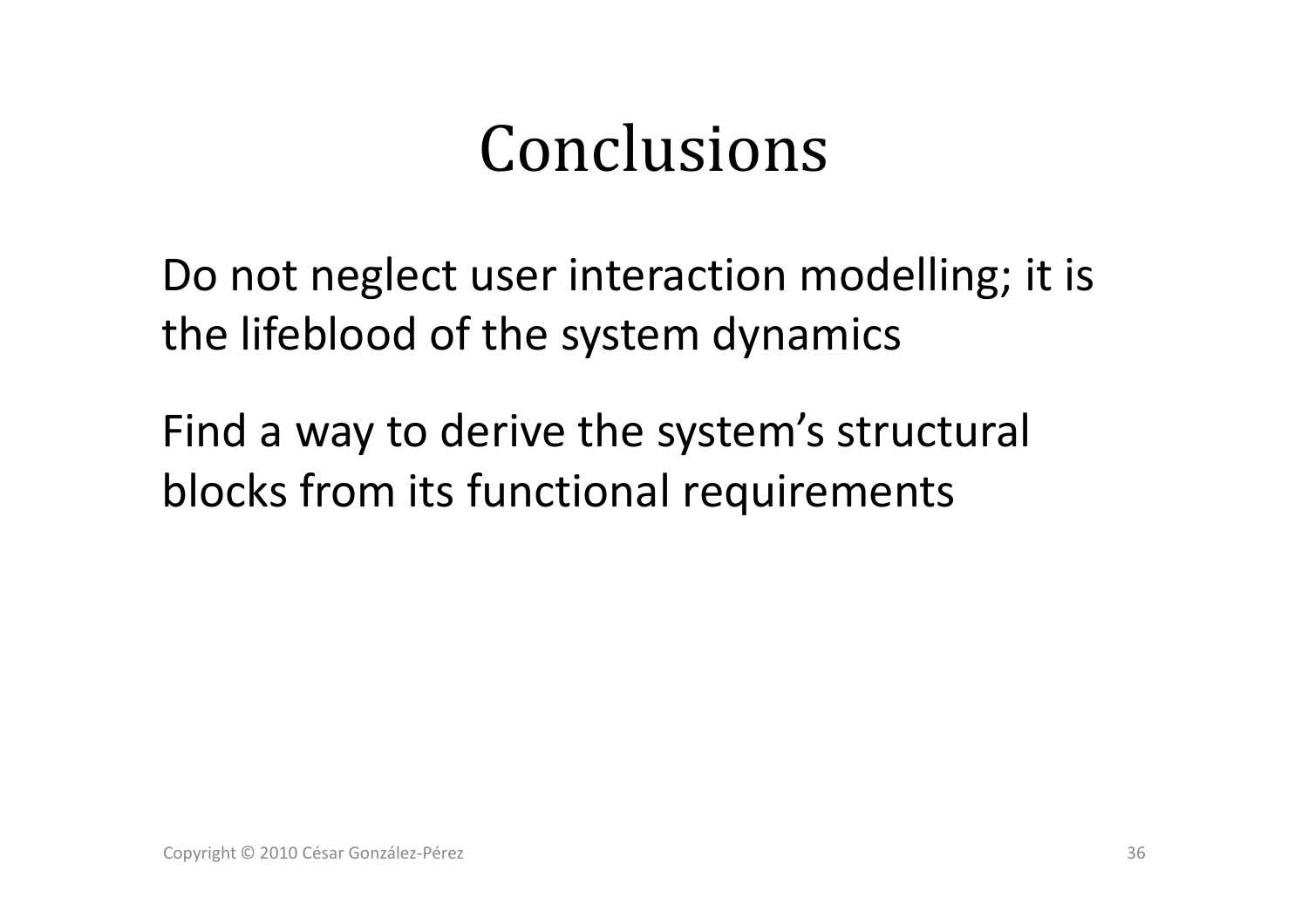## Conclusions

Do not neglect user interaction modelling; it is the lifeblood of the system dynamics

Find a way to derive the system's structural blocks from its functional requirements